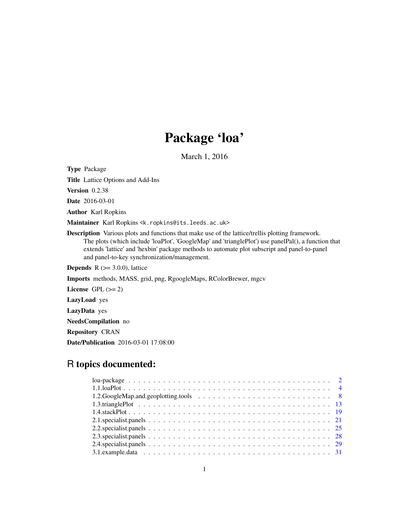## Package 'loa'

March 1, 2016

<span id="page-0-0"></span>Type Package

Title Lattice Options and Add-Ins

Version 0.2.38

Date 2016-03-01

Author Karl Ropkins

Maintainer Karl Ropkins <k.ropkins@its.leeds.ac.uk>

Description Various plots and functions that make use of the lattice/trellis plotting framework. The plots (which include 'loaPlot', 'GoogleMap' and 'trianglePlot') use panelPal(), a function that extends 'lattice' and 'hexbin' package methods to automate plot subscript and panel-to-panel and panel-to-key synchronization/management.

**Depends** R  $(>= 3.0.0)$ , lattice

Imports methods, MASS, grid, png, RgoogleMaps, RColorBrewer, mgcv

License GPL  $(>= 2)$ 

LazyLoad yes

LazyData yes

NeedsCompilation no

Repository CRAN

Date/Publication 2016-03-01 17:08:00

## R topics documented: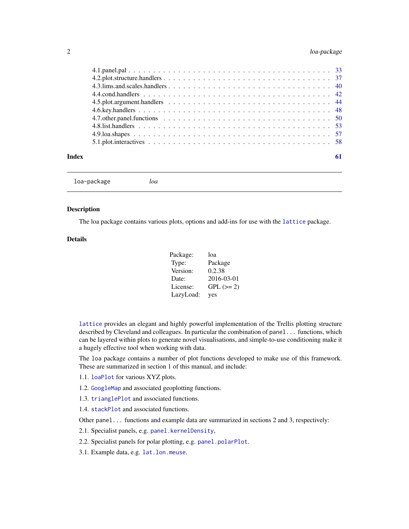### <span id="page-1-0"></span>2 loa-package

| Index |  |
|-------|--|

loa-package *loa*

### Description

The loa package contains various plots, options and add-ins for use with the [lattice](#page-0-0) package.

### Details

| Package:  | loa         |
|-----------|-------------|
| Type:     | Package     |
| Version:  | 0.2.38      |
| Date:     | 2016-03-01  |
| License:  | $GPL (= 2)$ |
| LazyLoad: | yes         |

[lattice](#page-0-0) provides an elegant and highly powerful implementation of the Trellis plotting structure described by Cleveland and colleagues. In particular the combination of panel... functions, which can be layered within plots to generate novel visualisations, and simple-to-use conditioning make it a hugely effective tool when working with data.

The loa package contains a number of plot functions developed to make use of this framework. These are summarized in section 1 of this manual, and include:

- 1.1. [loaPlot](#page-3-1) for various XYZ plots.
- 1.2. [GoogleMap](#page-7-1) and associated geoplotting functions.
- 1.3. [trianglePlot](#page-12-1) and associated functions.
- 1.4. [stackPlot](#page-18-1) and associated functions.

Other panel... functions and example data are summarized in sections 2 and 3, respectively:

- 2.1. Specialist panels, e.g. [panel.kernelDensity](#page-20-1),
- 2.2. Specialist panels for polar plotting, e.g. [panel.polarPlot](#page-24-1).
- 3.1. Example data, e.g. [lat.lon.meuse](#page-30-1).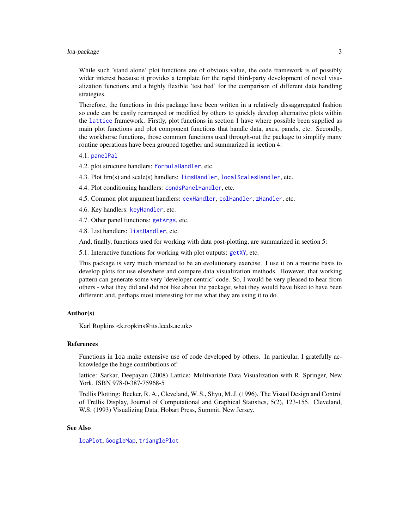### <span id="page-2-0"></span>loa-package 3

While such 'stand alone' plot functions are of obvious value, the code framework is of possibly wider interest because it provides a template for the rapid third-party development of novel visualization functions and a highly flexible 'test bed' for the comparison of different data handling strategies.

Therefore, the functions in this package have been written in a relatively dissaggregated fashion so code can be easily rearranged or modified by others to quickly develop alternative plots within the [lattice](#page-0-0) framework. Firstly, plot functions in section 1 have where possible been supplied as main plot functions and plot component functions that handle data, axes, panels, etc. Secondly, the workhorse functions, those common functions used through-out the package to simplify many routine operations have been grouped together and summarized in section 4:

#### 4.1. [panelPal](#page-32-1)

- 4.2. plot structure handlers: [formulaHandler](#page-36-1), etc.
- 4.3. Plot lim(s) and scale(s) handlers: [limsHandler](#page-39-1), [localScalesHandler](#page-39-1), etc.
- 4.4. Plot conditioning handlers: [condsPanelHandler](#page-41-1), etc.
- 4.5. Common plot argument handlers: [cexHandler](#page-43-1), [colHandler](#page-43-1), [zHandler](#page-43-1), etc.
- 4.6. Key handlers: [keyHandler](#page-47-1), etc.
- 4.7. Other panel functions: [getArgs](#page-49-1), etc.

4.8. List handlers: [listHandler](#page-52-1), etc.

And, finally, functions used for working with data post-plotting, are summarized in section 5:

5.1. Interactive functions for working with plot outputs: [getXY](#page-57-1), etc.

This package is very much intended to be an evolutionary exercise. I use it on a routine basis to develop plots for use elsewhere and compare data visualization methods. However, that working pattern can generate some very 'developer-centric' code. So, I would be very pleased to hear from others - what they did and did not like about the package; what they would have liked to have been different; and, perhaps most interesting for me what they are using it to do.

#### Author(s)

Karl Ropkins <k.ropkins@its.leeds.ac.uk>

#### References

Functions in loa make extensive use of code developed by others. In particular, I gratefully acknowledge the huge contributions of:

lattice: Sarkar, Deepayan (2008) Lattice: Multivariate Data Visualization with R. Springer, New York. ISBN 978-0-387-75968-5

Trellis Plotting: Becker, R. A., Cleveland, W. S., Shyu, M. J. (1996). The Visual Design and Control of Trellis Display, Journal of Computational and Graphical Statistics, 5(2), 123-155. Cleveland, W.S. (1993) Visualizing Data, Hobart Press, Summit, New Jersey.

#### See Also

[loaPlot](#page-3-1), [GoogleMap](#page-7-1), [trianglePlot](#page-12-1)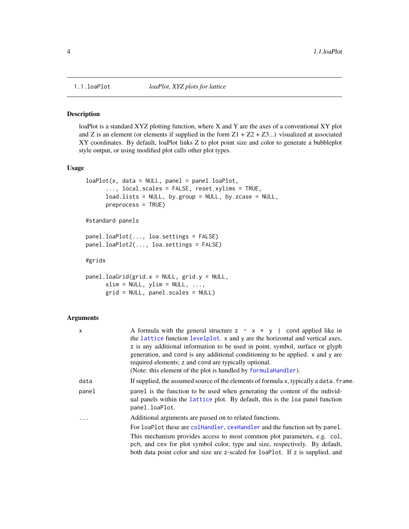<span id="page-3-0"></span>

#### <span id="page-3-1"></span>Description

loaPlot is a standard XYZ plotting function, where X and Y are the axes of a conventional XY plot and Z is an element (or elements if supplied in the form  $Z1 + Z2 + Z3...$ ) visualized at associated XY coordinates. By default, loaPlot links Z to plot point size and color to generate a bubbleplot style output, or using modified plot calls other plot types.

### Usage

```
loaPlot(x, data = NULL, panel = panel.loaPlot,..., local.scales = FALSE, reset.xylims = TRUE,
     load.lists = NULL, by.group = NULL, by.zcase = NULL,
     preprocess = TRUE)
```
#standard panels

```
panel.loaPlot(..., loa.settings = FALSE)
panel.loaPlot2(..., loa.settings = FALSE)
```
#grids

```
panel.loadGrid(grid.x = NULL, grid.y = NULL,xlim = NULL, ylim = NULL, ...,grid = NULL, panel.scales = NULL)
```
### Arguments

| X          | A formula with the general structure $z \sim x \times y$   cond applied like in                                                                                                  |
|------------|----------------------------------------------------------------------------------------------------------------------------------------------------------------------------------|
|            | the lattice function levelplot. x and y are the horizontal and vertical axes,                                                                                                    |
|            | z is any additional information to be used in point, symbol, surface or glyph                                                                                                    |
|            | generation, and cond is any additional conditioning to be applied. x and y are                                                                                                   |
|            | required elements; z and cond are typically optional.                                                                                                                            |
|            | (Note: this element of the plot is handled by formula Handler).                                                                                                                  |
| data       | If supplied, the assumed source of the elements of formula x, typically a data. frame.                                                                                           |
| panel      | panel is the function to be used when generating the content of the individ-<br>ual panels within the lattice plot. By default, this is the loa panel function<br>panel.loaPlot. |
| $\ddots$ . | Additional arguments are passed on to related functions.                                                                                                                         |
|            | For loaPlot these are collandler, cexHandler and the function set by panel.                                                                                                      |
|            | This mechanism provides access to most common plot parameters, e.g. col,                                                                                                         |
|            | pch, and cex for plot symbol color, type and size, respectively. By default,                                                                                                     |
|            | both data point color and size are z-scaled for loaPlot. If z is supplied, and                                                                                                   |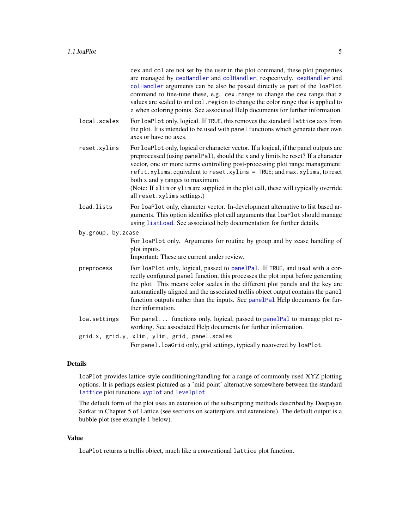<span id="page-4-0"></span>

|                    | cex and col are not set by the user in the plot command, these plot properties<br>are managed by cexHandler and colHandler, respectively. cexHandler and<br>colHandler arguments can be also be passed directly as part of the loaPlot<br>command to fine-tune these, e.g. cex. range to change the cex range that z<br>values are scaled to and col. region to change the color range that is applied to<br>z when coloring points. See associated Help documents for further information.      |  |
|--------------------|--------------------------------------------------------------------------------------------------------------------------------------------------------------------------------------------------------------------------------------------------------------------------------------------------------------------------------------------------------------------------------------------------------------------------------------------------------------------------------------------------|--|
| local.scales       | For loaPlot only, logical. If TRUE, this removes the standard lattice axis from<br>the plot. It is intended to be used with panel functions which generate their own<br>axes or have no axes.                                                                                                                                                                                                                                                                                                    |  |
| reset.xylims       | For loaPlot only, logical or character vector. If a logical, if the panel outputs are<br>preprocessed (using panelPal), should the x and y limits be reset? If a character<br>vector, one or more terms controlling post-processing plot range management:<br>refit.xylims, equivalent to reset.xylims = TRUE; and max.xylims, to reset<br>both x and y ranges to maximum.<br>(Note: If xlim or ylim are supplied in the plot call, these will typically override<br>all reset.xylims settings.) |  |
| load.lists         | For loaPlot only, character vector. In-development alternative to list based ar-<br>guments. This option identifies plot call arguments that loaPlot should manage<br>using listLoad. See associated help documentation for further details.                                                                                                                                                                                                                                                     |  |
| by.group, by.zcase |                                                                                                                                                                                                                                                                                                                                                                                                                                                                                                  |  |
|                    | For loaPlot only. Arguments for routine by group and by zcase handling of<br>plot inputs.<br>Important: These are current under review.                                                                                                                                                                                                                                                                                                                                                          |  |
| preprocess         | For loaPlot only, logical, passed to panelPal. If TRUE, and used with a cor-<br>rectly configured panel function, this processes the plot input before generating<br>the plot. This means color scales in the different plot panels and the key are<br>automatically aligned and the associated trellis object output contains the panel<br>function outputs rather than the inputs. See panelPal Help documents for fur-<br>ther information.                                                   |  |
| loa.settings       | For panel functions only, logical, passed to panelPal to manage plot re-<br>working. See associated Help documents for further information.                                                                                                                                                                                                                                                                                                                                                      |  |
|                    | grid.x, grid.y, xlim, ylim, grid, panel.scales<br>For panel. loaGrid only, grid settings, typically recovered by loaPlot.                                                                                                                                                                                                                                                                                                                                                                        |  |

### Details

loaPlot provides lattice-style conditioning/handling for a range of commonly used XYZ plotting options. It is perhaps easiest pictured as a 'mid point' alternative somewhere between the standard [lattice](#page-0-0) plot functions [xyplot](#page-0-0) and [levelplot](#page-0-0).

The default form of the plot uses an extension of the subscripting methods described by Deepayan Sarkar in Chapter 5 of Lattice (see sections on scatterplots and extensions). The default output is a bubble plot (see example 1 below).

### Value

loaPlot returns a trellis object, much like a conventional lattice plot function.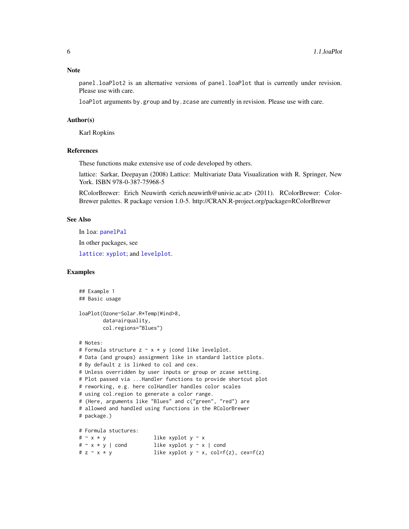#### <span id="page-5-0"></span>Note

panel.loaPlot2 is an alternative versions of panel.loaPlot that is currently under revision. Please use with care.

loaPlot arguments by.group and by.zcase are currently in revision. Please use with care.

#### Author(s)

Karl Ropkins

### References

These functions make extensive use of code developed by others.

lattice: Sarkar, Deepayan (2008) Lattice: Multivariate Data Visualization with R. Springer, New York. ISBN 978-0-387-75968-5

RColorBrewer: Erich Neuwirth <erich.neuwirth@univie.ac.at> (2011). RColorBrewer: Color-Brewer palettes. R package version 1.0-5. http://CRAN.R-project.org/package=RColorBrewer

### See Also

In loa: [panelPal](#page-32-1)

In other packages, see

[lattice](#page-0-0): [xyplot](#page-0-0); and [levelplot](#page-0-0).

### Examples

```
## Example 1
## Basic usage
loaPlot(Ozone~Solar.R*Temp|Wind>8,
       data=airquality,
       col.regions="Blues")
# Notes:
# Formula structure z \sim x * y | cond like levelplot.
# Data (and groups) assignment like in standard lattice plots.
# By default z is linked to col and cex.
# Unless overridden by user inputs or group or zcase setting.
# Plot passed via ...Handler functions to provide shortcut plot
# reworking, e.g. here colHandler handles color scales
# using col.region to generate a color range.
# (Here, arguments like "Blues" and c("green", "red") are
# allowed and handled using functions in the RColorBrewer
# package.)
# Formula stuctures:
# \sim x * y like xyplot y \sim x# \sim x * y | cond like xyplot y \sim x | cond
# z \sim x * y like xyplot y \sim x, col=f(z), cex=f(z)
```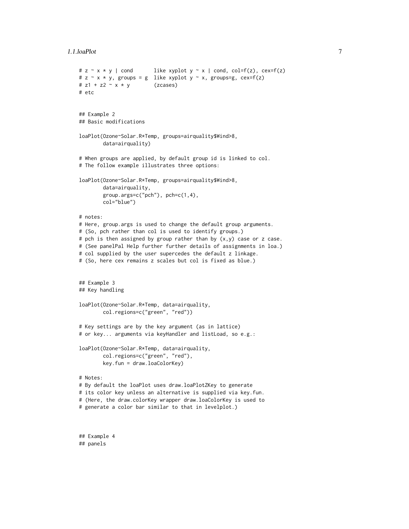```
1.1.loaPlot 7
```

```
# z \sim x * y | cond like xyplot y \sim x | cond, col=f(z), cex=f(z)
# z \sim x * y, groups = g like xyplot y \sim x, groups=g, cex=f(z)
# z1 + z2 - x * y (zcases)
# etc
## Example 2
## Basic modifications
loaPlot(Ozone~Solar.R*Temp, groups=airquality$Wind>8,
        data=airquality)
# When groups are applied, by default group id is linked to col.
# The follow example illustrates three options:
loaPlot(Ozone~Solar.R*Temp, groups=airquality$Wind>8,
        data=airquality,
        group.args=c("pch"), pch=c(1,4),
        col="blue")
# notes:
# Here, group.args is used to change the default group arguments.
# (So, pch rather than col is used to identify groups.)
# pch is then assigned by group rather than by (x,y) case or z case.
# (See panelPal Help further further details of assignments in loa.)
# col supplied by the user supercedes the default z linkage.
# (So, here cex remains z scales but col is fixed as blue.)
## Example 3
## Key handling
loaPlot(Ozone~Solar.R*Temp, data=airquality,
        col.regions=c("green", "red"))
# Key settings are by the key argument (as in lattice)
# or key... arguments via keyHandler and listLoad, so e.g.:
loaPlot(Ozone~Solar.R*Temp, data=airquality,
        col.regions=c("green", "red"),
        key.fun = draw.loaColorKey)
# Notes:
# By default the loaPlot uses draw.loaPlotZKey to generate
# its color key unless an alternative is supplied via key.fun.
# (Here, the draw.colorKey wrapper draw.loaColorKey is used to
# generate a color bar similar to that in levelplot.)
```
## Example 4 ## panels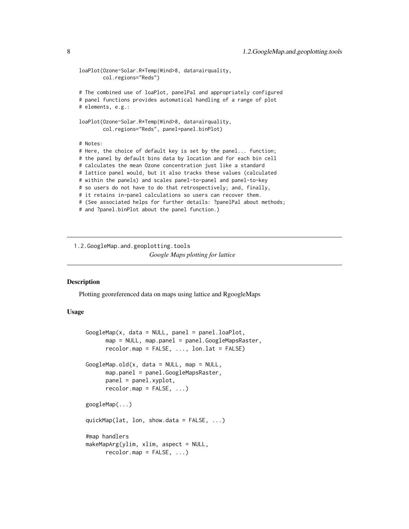```
loaPlot(Ozone~Solar.R*Temp|Wind>8, data=airquality,
       col.regions="Reds")
# The combined use of loaPlot, panelPal and appropriately configured
# panel functions provides automatical handling of a range of plot
# elements, e.g.:
loaPlot(Ozone~Solar.R*Temp|Wind>8, data=airquality,
       col.regions="Reds", panel=panel.binPlot)
# Notes:
# Here, the choice of default key is set by the panel... function;
# the panel by default bins data by location and for each bin cell
# calculates the mean Ozone concentration just like a standard
# lattice panel would, but it also tracks these values (calculated
# within the panels) and scales panel-to-panel and panel-to-key
# so users do not have to do that retrospectively; and, finally,
# it retains in-panel calculations so users can recover them.
# (See associated helps for further details: ?panelPal about methods;
# and ?panel.binPlot about the panel function.)
```
1.2.GoogleMap.and.geoplotting.tools *Google Maps plotting for lattice*

#### <span id="page-7-1"></span>Description

Plotting georeferenced data on maps using lattice and RgoogleMaps

### Usage

```
GoogleMap(x, data = NULL, panel = panel.loaPlot,
     map = NULL, map.panel = panel.GoogleMapsRaster,
      recolormap = FALSE, ..., lon. lat = FALSE)GoogleMap.old(x, data = NULL, map = NULL,
     map.panel = panel.GoogleMapsRaster,
     panel = panel.xyplot,
     recolormap = FALSE, ...)googleMap(...)
quickMap(lat, lon, show.data = FALSE, ...)
#map handlers
makeMapArg(ylim, xlim, aspect = NULL,
     recolormap = FALSE, ...)
```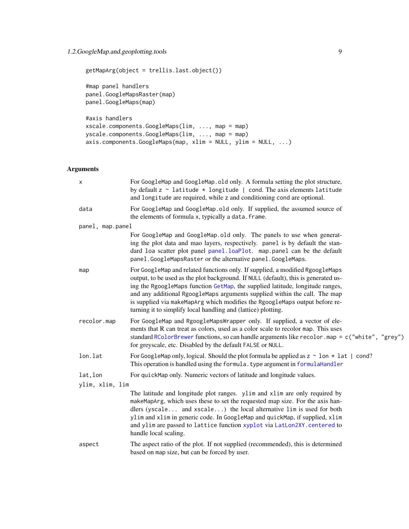### <span id="page-8-0"></span>1.2.GoogleMap.and.geoplotting.tools 9

```
getMapArg(object = trellis.last.object())
#map panel handlers
panel.GoogleMapsRaster(map)
panel.GoogleMaps(map)
#axis handlers
xscale.components.GoogleMaps(lim, ..., map = map)
yscale.components.GoogleMaps(lim, ..., map = map)
axis.components.GoogleMaps(map, xlim = NULL, ylim = NULL, ...)
```
### Arguments

| X                | For GoogleMap and GoogleMap.old only. A formula setting the plot structure,<br>by default $z \sim$ latitude $*$ longitude   cond. The axis elements latitude<br>and longitude are required, while z and conditioning cond are optional.                                                                                                                                                                                                                                             |  |
|------------------|-------------------------------------------------------------------------------------------------------------------------------------------------------------------------------------------------------------------------------------------------------------------------------------------------------------------------------------------------------------------------------------------------------------------------------------------------------------------------------------|--|
| data             | For GoogleMap and GoogleMap.old only. If supplied, the assumed source of<br>the elements of formula x, typically a data. frame.                                                                                                                                                                                                                                                                                                                                                     |  |
| panel, map.panel |                                                                                                                                                                                                                                                                                                                                                                                                                                                                                     |  |
|                  | For GoogleMap and GoogleMap.old only. The panels to use when generat-<br>ing the plot data and mao layers, respectively. panel is by default the stan-<br>dard loa scatter plot panel panel.loaPlot. map.panel can be the default<br>panel. GoogleMapsRaster or the alternative panel. GoogleMaps.                                                                                                                                                                                  |  |
| map              | For GoogleMap and related functions only. If supplied, a modified RgoogleMaps<br>output, to be used as the plot background. If NULL (default), this is generated us-<br>ing the RgoogleMaps function GetMap, the supplied latitude, longitude ranges,<br>and any additional RgoogleMaps arguments supplied within the call. The map<br>is supplied via makeMapArg which modifies the RgoogleMaps output before re-<br>turning it to simplify local handling and (lattice) plotting. |  |
| recolor.map      | For GoogleMap and RgoogleMapsWrapper only. If supplied, a vector of ele-<br>ments that R can treat as colors, used as a color scale to recolor map. This uses<br>standard RColorBrewer functions, so can handle arguments like recolor .map = c("white", "grey")<br>for greyscale, etc. Disabled by the default FALSE or NULL.                                                                                                                                                      |  |
| lon.lat          | For GoogleMap only, logical. Should the plot formula be applied as $z \sim 1$ on $\star$ 1 at   cond?<br>This operation is handled using the formula. type argument in formulaHandler                                                                                                                                                                                                                                                                                               |  |
| lat, lon         | For quickMap only. Numeric vectors of latitude and longitude values.                                                                                                                                                                                                                                                                                                                                                                                                                |  |
| ylim, xlim, lim  |                                                                                                                                                                                                                                                                                                                                                                                                                                                                                     |  |
|                  | The latitude and longitude plot ranges. ylim and xlim are only required by<br>makeMapArg, which uses these to set the requested map size. For the axis han-<br>dlers (yscale and xscale) the local alternative lim is used for both<br>ylim and xlim in generic code. In GoogleMap and quickMap, if supplied, xlim<br>and ylim are passed to lattice function xyplot via LatLon2XY. centered to<br>handle local scaling.                                                            |  |
| aspect           | The aspect ratio of the plot. If not supplied (recommended), this is determined<br>based on map size, but can be forced by user.                                                                                                                                                                                                                                                                                                                                                    |  |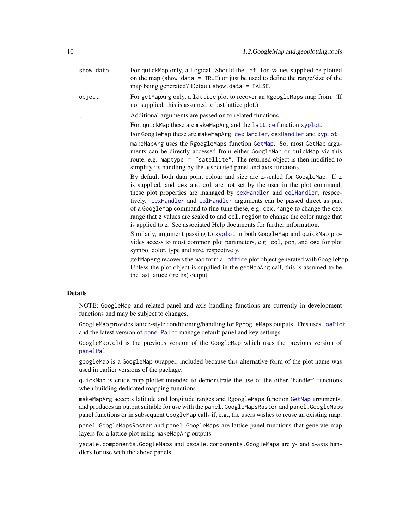<span id="page-9-0"></span>

| show.data | For quickMap only, a Logical. Should the lat, lon values supplied be plotted<br>on the map (show data = $TRUE$ ) or just be used to define the range/size of the<br>map being generated? Default show. $data = FALSE$ .                                                                                                                                                                                                                                                                                                                                                                                                                                                                                                                                                                                                                                                                                                                               |
|-----------|-------------------------------------------------------------------------------------------------------------------------------------------------------------------------------------------------------------------------------------------------------------------------------------------------------------------------------------------------------------------------------------------------------------------------------------------------------------------------------------------------------------------------------------------------------------------------------------------------------------------------------------------------------------------------------------------------------------------------------------------------------------------------------------------------------------------------------------------------------------------------------------------------------------------------------------------------------|
| object    | For getMapArg only, a lattice plot to recover an RgoogleMaps map from. (If<br>not supplied, this is assumed to last lattice plot.)                                                                                                                                                                                                                                                                                                                                                                                                                                                                                                                                                                                                                                                                                                                                                                                                                    |
|           | Additional arguments are passed on to related functions.                                                                                                                                                                                                                                                                                                                                                                                                                                                                                                                                                                                                                                                                                                                                                                                                                                                                                              |
|           | For, quickMap these are makeMapArg and the lattice function xyplot.                                                                                                                                                                                                                                                                                                                                                                                                                                                                                                                                                                                                                                                                                                                                                                                                                                                                                   |
|           | For GoogleMap these are makeMapArg, cexHandler, cexHandler and xyplot.                                                                                                                                                                                                                                                                                                                                                                                                                                                                                                                                                                                                                                                                                                                                                                                                                                                                                |
|           | makeMapArg uses the RgoogleMaps function GetMap. So, most GetMap argu-<br>ments can be directly accessed from either GoogleMap or quickMap via this<br>route, e.g. maptype = "satellite". The returned object is then modified to<br>simplify its handling by the associated panel and axis functions.<br>By default both data point colour and size are z-scaled for GoogleMap. If z<br>is supplied, and cex and col are not set by the user in the plot command,<br>these plot properties are managed by cexHandler and colHandler, respec-<br>tively. cexHandler and colHandler arguments can be passed direct as part<br>of a GoogleMap command to fine-tune these, e.g. cex. range to change the cex<br>range that z values are scaled to and col. region to change the color range that<br>is applied to z. See associated Help documents for further information.<br>Similarly, argument passing to xyplot in both GoogleMap and quickMap pro- |
|           | vides access to most common plot parameters, e.g. col, pch, and cex for plot<br>symbol color, type and size, respectively.                                                                                                                                                                                                                                                                                                                                                                                                                                                                                                                                                                                                                                                                                                                                                                                                                            |
|           | getMapArg recovers the map from a lattice plot object generated with GoogleMap.<br>Unless the plot object is supplied in the getMapArg call, this is assumed to be<br>the last lattice (trellis) output.                                                                                                                                                                                                                                                                                                                                                                                                                                                                                                                                                                                                                                                                                                                                              |
|           |                                                                                                                                                                                                                                                                                                                                                                                                                                                                                                                                                                                                                                                                                                                                                                                                                                                                                                                                                       |

### Details

NOTE: GoogleMap and related panel and axis handling functions are currently in development functions and may be subject to changes.

GoogleMap provides lattice-style conditioning/handling for RgoogleMaps outputs. This uses [loaPlot](#page-3-1) and the latest version of [panelPal](#page-32-1) to manage default panel and key settings.

GoogleMap.old is the previous version of the GoogleMap which uses the previous version of [panelPal](#page-32-1)

googleMap is a GoogleMap wrapper, included because this alternative form of the plot name was used in earlier versions of the package.

quickMap is crude map plotter intended to demonstrate the use of the other 'handler' functions when building dedicated mapping functions.

makeMapArg accepts latitude and longitude ranges and RgoogleMaps function [GetMap](#page-0-0) arguments, and produces an output suitable for use with the panel.GoogleMapsRaster and panel.GoogleMaps panel functions or in subsequent GoogleMap calls if, e.g., the users wishes to reuse an existing map.

panel.GoogleMapsRaster and panel.GoogleMaps are lattice panel functions that generate map layers for a lattice plot using makeMapArg outputs.

yscale.components.GoogleMaps and xscale.components.GoogleMaps are y- and x-axis handlers for use with the above panels.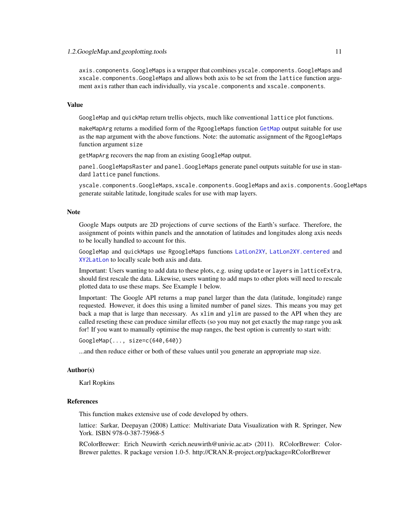#### <span id="page-10-0"></span>1.2.GoogleMap.and.geoplotting.tools 11

axis.components.GoogleMaps is a wrapper that combines yscale.components.GoogleMaps and xscale.components.GoogleMaps and allows both axis to be set from the lattice function argument axis rather than each individually, via yscale.components and xscale.components.

### Value

GoogleMap and quickMap return trellis objects, much like conventional lattice plot functions.

makeMapArg returns a modified form of the RgoogleMaps function [GetMap](#page-0-0) output suitable for use as the map argument with the above functions. Note: the automatic assignment of the RgoogleMaps function argument size

getMapArg recovers the map from an existing GoogleMap output.

panel.GoogleMapsRaster and panel.GoogleMaps generate panel outputs suitable for use in standard lattice panel functions.

yscale.components.GoogleMaps, xscale.components.GoogleMaps and axis.components.GoogleMaps generate suitable latitude, longitude scales for use with map layers.

#### Note

Google Maps outputs are 2D projections of curve sections of the Earth's surface. Therefore, the assignment of points within panels and the annotation of latitudes and longitudes along axis needs to be locally handled to account for this.

GoogleMap and quickMaps use RgoogleMaps functions [LatLon2XY](#page-0-0), [LatLon2XY.centered](#page-0-0) and [XY2LatLon](#page-0-0) to locally scale both axis and data.

Important: Users wanting to add data to these plots, e.g. using update or layers in latticeExtra, should first rescale the data. Likewise, users wanting to add maps to other plots will need to rescale plotted data to use these maps. See Example 1 below.

Important: The Google API returns a map panel larger than the data (latitude, longitude) range requested. However, it does this using a limited number of panel sizes. This means you may get back a map that is large than necessary. As xlim and ylim are passed to the API when they are called reseting these can produce similar effects (so you may not get exactly the map range you ask for! If you want to manually optimise the map ranges, the best option is currently to start with:

GoogleMap(..., size=c(640,640))

...and then reduce either or both of these values until you generate an appropriate map size.

#### Author(s)

Karl Ropkins

#### References

This function makes extensive use of code developed by others.

lattice: Sarkar, Deepayan (2008) Lattice: Multivariate Data Visualization with R. Springer, New York. ISBN 978-0-387-75968-5

RColorBrewer: Erich Neuwirth <erich.neuwirth@univie.ac.at> (2011). RColorBrewer: Color-Brewer palettes. R package version 1.0-5. http://CRAN.R-project.org/package=RColorBrewer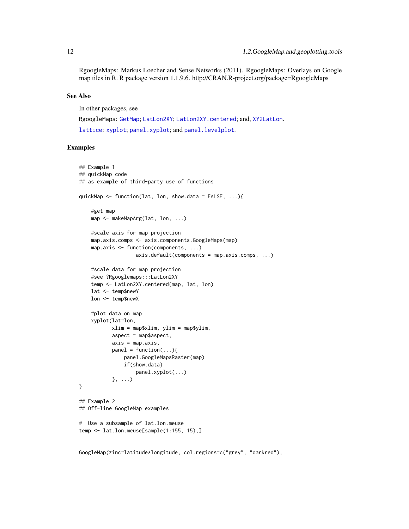<span id="page-11-0"></span>RgoogleMaps: Markus Loecher and Sense Networks (2011). RgoogleMaps: Overlays on Google map tiles in R. R package version 1.1.9.6. http://CRAN.R-project.org/package=RgoogleMaps

#### See Also

In other packages, see

RgoogleMaps: [GetMap](#page-0-0); [LatLon2XY](#page-0-0); [LatLon2XY.centered](#page-0-0); and, [XY2LatLon](#page-0-0). [lattice](#page-0-0): [xyplot](#page-0-0); [panel.xyplot](#page-0-0); and [panel.levelplot](#page-0-0).

#### Examples

```
## Example 1
## quickMap code
## as example of third-party use of functions
quickMap <- function(lat, lon, show.data = FALSE, ...){
    #get map
   map <- makeMapArg(lat, lon, ...)
   #scale axis for map projection
   map.axis.comps <- axis.components.GoogleMaps(map)
   map.axis <- function(components, ...)
                   axis.default(components = map.axis.comps, ...)
    #scale data for map projection
   #see ?Rgooglemaps:::LatLon2XY
   temp <- LatLon2XY.centered(map, lat, lon)
   lat <- temp$newY
   lon <- temp$newX
    #plot data on map
    xyplot(lat~lon,
           xlim = map$xlim, ylim = map$ylim,
           aspect = map$aspect,
           axis = map. axis,panel = function(...){}panel.GoogleMapsRaster(map)
               if(show.data)
                   panel.xyplot(...)
           }, ...)
}
## Example 2
## Off-line GoogleMap examples
# Use a subsample of lat.lon.meuse
temp <- lat.lon.meuse[sample(1:155, 15),]
```
GoogleMap(zinc~latitude\*longitude, col.regions=c("grey", "darkred"),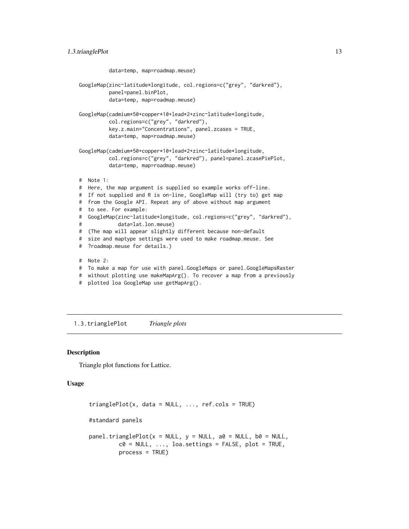```
data=temp, map=roadmap.meuse)
GoogleMap(zinc~latitude*longitude, col.regions=c("grey", "darkred"),
          panel=panel.binPlot,
          data=temp, map=roadmap.meuse)
GoogleMap(cadmium*50+copper*10+lead*2+zinc~latitude*longitude,
          col.regions=c("grey", "darkred"),
          key.z.main="Concentrations", panel.zcases = TRUE,
         data=temp, map=roadmap.meuse)
GoogleMap(cadmium*50+copper*10+lead*2+zinc~latitude*longitude,
          col.regions=c("grey", "darkred"), panel=panel.zcasePiePlot,
          data=temp, map=roadmap.meuse)
# Note 1:
# Here, the map argument is supplied so example works off-line.
# If not supplied and R is on-line, GoogleMap will (try to) get map
# from the Google API. Repeat any of above without map argument
# to see. For example:
# GoogleMap(zinc~latitude*longitude, col.regions=c("grey", "darkred"),
# data=lat.lon.meuse)
# (The map will appear slightly different because non-default
# size and maptype settings were used to make roadmap.meuse. See
# ?roadmap.meuse for details.)
# Note 2:
# To make a map for use with panel.GoogleMaps or panel.GoogleMapsRaster
# without plotting use makeMapArg(). To recover a map from a previously
```
# plotted loa GoogleMap use getMapArg().

1.3.trianglePlot *Triangle plots*

#### <span id="page-12-1"></span>Description

Triangle plot functions for Lattice.

### Usage

```
trianglePlot(x, data = NULL, ..., ref. <math>cols = TRUE</math>)#standard panels
panel.trianglePlot(x = NULL, y = NULL, a0 = NULL, b0 = NULL,c0 = NULL, ..., loa.settings = FALSE, plot = TRUE,
         process = TRUE)
```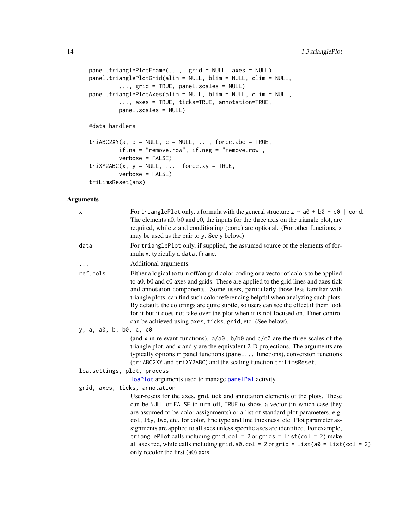```
panel.trianglePlotFrame(..., grid = NULL, axes = NULL)
panel.trianglePlotGrid(alim = NULL, blim = NULL, clim = NULL,
         ..., grid = TRUE, panel.scales = NULL)
panel.trianglePlotAxes(alim = NULL, blim = NULL, clim = NULL,
         ..., axes = TRUE, ticks=TRUE, annotation=TRUE,
         panel.scales = NULL)
```
#data handlers

```
triABC2XY(a, b = NULL, c = NULL, ..., force.abc = TRUE,if.na = "remove.row", if.neg = "remove.row",
         verbose = FALSE)
triXY2ABC(x, y = NULL, ..., force, xy = TRUE,verbose = FALSE)
triLimsReset(ans)
```
### Arguments

| For triangle Plot only, a formula with the general structure $z \sim a\theta + b\theta + c\theta$   cond.<br>The elements a0, b0 and c0, the inputs for the three axis on the triangle plot, are<br>required, while z and conditioning (cond) are optional. (For other functions, x<br>may be used as the pair to y. See y below.)                                                                                                                                                                                                                                                                                                                          |  |  |
|-------------------------------------------------------------------------------------------------------------------------------------------------------------------------------------------------------------------------------------------------------------------------------------------------------------------------------------------------------------------------------------------------------------------------------------------------------------------------------------------------------------------------------------------------------------------------------------------------------------------------------------------------------------|--|--|
| For trianglePlot only, if supplied, the assumed source of the elements of for-<br>mula x, typically a data. frame.                                                                                                                                                                                                                                                                                                                                                                                                                                                                                                                                          |  |  |
| Additional arguments.                                                                                                                                                                                                                                                                                                                                                                                                                                                                                                                                                                                                                                       |  |  |
| Either a logical to turn of folongrid color-coding or a vector of colors to be applied<br>to a0, b0 and c0 axes and grids. These are applied to the grid lines and axes tick<br>and annotation components. Some users, particularly those less familiar with<br>triangle plots, can find such color referencing helpful when analyzing such plots.<br>By default, the colorings are quite subtle, so users can see the effect if them look<br>for it but it does not take over the plot when it is not focused on. Finer control<br>can be achieved using axes, ticks, grid, etc. (See below).                                                              |  |  |
| y, a, a0, b, b0, c, c0                                                                                                                                                                                                                                                                                                                                                                                                                                                                                                                                                                                                                                      |  |  |
| (and x in relevant functions). $a/a0$ , $b/b0$ and $c/c0$ are the three scales of the<br>triangle plot, and x and y are the equivalent 2-D projections. The arguments are<br>typically options in panel functions (panel functions), conversion functions<br>(triABC2XY and triXY2ABC) and the scaling function triLimsReset.                                                                                                                                                                                                                                                                                                                               |  |  |
| loa.settings, plot, process                                                                                                                                                                                                                                                                                                                                                                                                                                                                                                                                                                                                                                 |  |  |
| loaPlot arguments used to manage panelPal activity.                                                                                                                                                                                                                                                                                                                                                                                                                                                                                                                                                                                                         |  |  |
| grid, axes, ticks, annotation                                                                                                                                                                                                                                                                                                                                                                                                                                                                                                                                                                                                                               |  |  |
| User-resets for the axes, grid, tick and annotation elements of the plots. These<br>can be NULL or FALSE to turn off, TRUE to show, a vector (in which case they<br>are assumed to be color assignments) or a list of standard plot parameters, e.g.<br>col, 1ty, 1wd, etc. for color, line type and line thickness, etc. Plot parameter as-<br>signments are applied to all axes unless specific axes are identified. For example,<br>trianglePlot calls including grid.col = $2$ or grids = $list$ (col = $2)$ make<br>all axes red, while calls including grid. $a0$ . col = 2 or grid = list( $a0 =$ list(col = 2)<br>only recolor the first (a0) axis. |  |  |
|                                                                                                                                                                                                                                                                                                                                                                                                                                                                                                                                                                                                                                                             |  |  |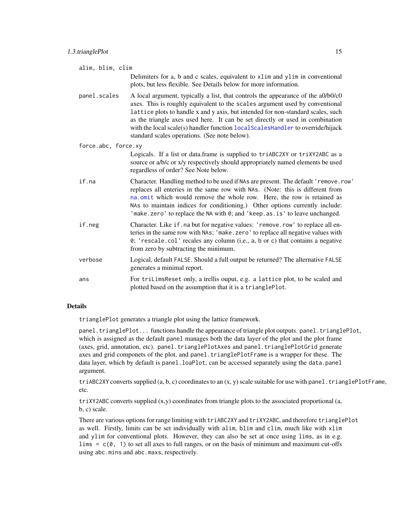<span id="page-14-0"></span>

|                     | alim, blim, clim |                                                                                                                                                                                                                                                                                                                                                                                                                                                                           |  |
|---------------------|------------------|---------------------------------------------------------------------------------------------------------------------------------------------------------------------------------------------------------------------------------------------------------------------------------------------------------------------------------------------------------------------------------------------------------------------------------------------------------------------------|--|
|                     |                  | Delimiters for a, b and c scales, equivalent to xlim and ylim in conventional<br>plots, but less flexible. See Details below for more information.                                                                                                                                                                                                                                                                                                                        |  |
|                     | panel.scales     | A local argument, typically a list, that controls the appearance of the a0/b0/c0<br>axes. This is roughly equivalent to the scales argument used by conventional<br>lattice plots to handle x and y axis, but intended for non-standard scales, such<br>as the triangle axes used here. It can be set directly or used in combination<br>with the local scale(s) handler function local ScalesHandler to override/hijack<br>standard scales operations. (See note below). |  |
| force.abc, force.xy |                  |                                                                                                                                                                                                                                                                                                                                                                                                                                                                           |  |
|                     |                  | Logicals. If a list or data.frame is supplied to triABC2XY or triXY2ABC as a<br>source or a/b/c or x/y respectively should appropriately named elements be used<br>regardless of order? See Note below.                                                                                                                                                                                                                                                                   |  |
|                     | if.na            | Character. Handling method to be used if NAs are present. The default 'remove.row'<br>replaces all enteries in the same row with NAs. (Note: this is different from<br>na.omit which would remove the whole row. Here, the row is retained as<br>NAs to maintain indices for conditioning.) Other options currently include:<br>'make.zero' to replace the NA with 0; and 'keep.as.is' to leave unchanged.                                                                |  |
|                     | if.neg           | Character. Like if. na but for negative values: 'remove.row' to replace all en-<br>teries in the same row with NAs; 'make.zero' to replace all negative values with<br>0; 'rescale.col' recales any column (i.e., a, b or c) that contains a negative<br>from zero by subtracting the minimum.                                                                                                                                                                            |  |
|                     | verbose          | Logical, default FALSE. Should a full output be returned? The alternative FALSE<br>generates a minimal report.                                                                                                                                                                                                                                                                                                                                                            |  |
|                     | ans              | For triLimsReset only, a trellis ouput, e.g. a lattice plot, to be scaled and<br>plotted based on the assumption that it is a trianglePlot.                                                                                                                                                                                                                                                                                                                               |  |

#### Details

trianglePlot generates a triangle plot using the lattice framework.

panel.trianglePlot... functions handle the appearance of triangle plot outputs. panel.trianglePlot, which is assigned as the default panel manages both the data layer of the plot and the plot frame (axes, grid, annotation, etc). panel.trianglePlotAxes and panel.trianglePlotGrid generate axes and grid componets of the plot, and panel.trianglePlotFrame is a wrapper for these. The data layer, which by default is panel.loaPlot, can be accessed separately using the data.panel argument.

triABC2XY converts supplied  $(a, b, c)$  coordinates to an  $(x, y)$  scale suitable for use with panel.trianglePlotFrame, etc.

 $triXY2ABC$  converts supplied  $(x,y)$  coordinates from triangle plots to the associated proportional (a, b, c) scale.

There are various options for range limiting with triABC2XY and triXY2ABC, and therefore trianglePlot as well. Firstly, limits can be set individually with alim, blim and clim, much like with xlim and ylim for conventional plots. However, they can also be set at once using lims, as in e.g. lims =  $c(0, 1)$  to set all axes to full ranges, or on the basis of minimum and maximum cut-offs using abc.mins and abc.maxs, respectively.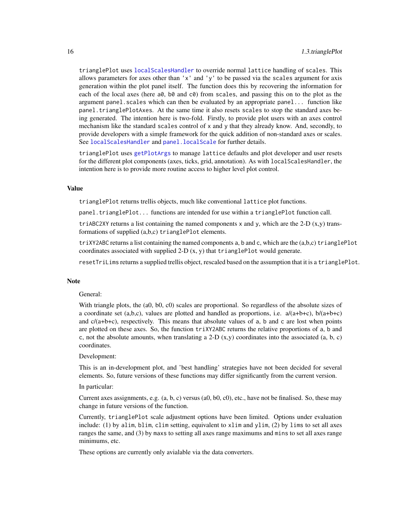<span id="page-15-0"></span>trianglePlot uses [localScalesHandler](#page-39-1) to override normal lattice handling of scales. This allows parameters for axes other than  $'x'$  and  $'y'$  to be passed via the scales argument for axis generation within the plot panel itself. The function does this by recovering the information for each of the local axes (here a0, b0 and c0) from scales, and passing this on to the plot as the argument panel.scales which can then be evaluated by an appropriate panel... function like panel.trianglePlotAxes. At the same time it also resets scales to stop the standard axes being generated. The intention here is two-fold. Firstly, to provide plot users with an axes control mechanism like the standard scales control of x and y that they already know. And, secondly, to provide developers with a simple framework for the quick addition of non-standard axes or scales. See [localScalesHandler](#page-39-1) and [panel.localScale](#page-39-1) for further details.

trianglePlot uses [getPlotArgs](#page-49-1) to manage lattice defaults and plot developer and user resets for the different plot components (axes, ticks, grid, annotation). As with localScalesHandler, the intention here is to provide more routine access to higher level plot control.

#### Value

trianglePlot returns trellis objects, much like conventional lattice plot functions.

panel.trianglePlot... functions are intended for use within a trianglePlot function call.

triABC2XY returns a list containing the named components x and y, which are the 2-D  $(x,y)$  transformations of supplied (a,b,c) trianglePlot elements.

triXY2ABC returns a list containing the named components a, b and c, which are the (a,b,c) trianglePlot coordinates associated with supplied 2- $D(x, y)$  that trianglePlot would generate.

resetTriLims returns a supplied trellis object, rescaled based on the assumption that it is a trianglePlot.

#### Note

### General:

With triangle plots, the (a0, b0, c0) scales are proportional. So regardless of the absolute sizes of a coordinate set (a,b,c), values are plotted and handled as proportions, i.e.  $a/(a+b+c)$ ,  $b/(a+b+c)$ and  $c/(a+b+c)$ , respectively. This means that absolute values of a, b and c are lost when points are plotted on these axes. So, the function triXY2ABC returns the relative proportions of a, b and c, not the absolute amounts, when translating a 2-D  $(x,y)$  coordinates into the associated  $(a, b, c)$ coordinates.

#### Development:

This is an in-development plot, and 'best handling' strategies have not been decided for several elements. So, future versions of these functions may differ significantly from the current version.

### In particular:

Current axes assignments, e.g.  $(a, b, c)$  versus  $(a0, b0, c0)$ , etc., have not be finalised. So, these may change in future versions of the function.

Currently, trianglePlot scale adjustment options have been limited. Options under evaluation include: (1) by alim, blim, clim setting, equivalent to xlim and ylim, (2) by lims to set all axes ranges the same, and (3) by maxs to setting all axes range maximums and mins to set all axes range minimums, etc.

These options are currently only avialable via the data converters.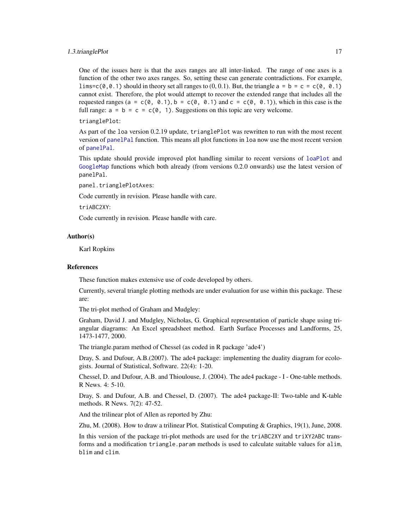#### <span id="page-16-0"></span>1.3.trianglePlot 17

One of the issues here is that the axes ranges are all inter-linked. The range of one axes is a function of the other two axes ranges. So, setting these can generate contradictions. For example, lims=c( $\theta$ ,  $\theta$ , 1) should in theory set all ranges to (0, 0, 1). But, the triangle  $a = b = c = c(\theta, \theta, 1)$ cannot exist. Therefore, the plot would attempt to recover the extended range that includes all the requested ranges (a = c(0, 0.1), b = c(0, 0.1) and c = c(0, 0.1)), which in this case is the full range:  $a = b = c = c(0, 1)$ . Suggestions on this topic are very welcome.

trianglePlot:

As part of the loa version 0.2.19 update, trianglePlot was rewritten to run with the most recent version of [panelPal](#page-32-1) function. This means all plot functions in loa now use the most recent version of [panelPal](#page-32-1).

This update should provide improved plot handling similar to recent versions of [loaPlot](#page-3-1) and [GoogleMap](#page-7-1) functions which both already (from versions 0.2.0 onwards) use the latest version of panelPal.

panel.trianglePlotAxes:

Code currently in revision. Please handle with care.

triABC2XY:

Code currently in revision. Please handle with care.

### Author(s)

Karl Ropkins

#### References

These function makes extensive use of code developed by others.

Currently, several triangle plotting methods are under evaluation for use within this package. These are:

The tri-plot method of Graham and Mudgley:

Graham, David J. and Mudgley, Nicholas, G. Graphical representation of particle shape using triangular diagrams: An Excel spreadsheet method. Earth Surface Processes and Landforms, 25, 1473-1477, 2000.

The triangle.param method of Chessel (as coded in R package 'ade4')

Dray, S. and Dufour, A.B.(2007). The ade4 package: implementing the duality diagram for ecologists. Journal of Statistical, Software. 22(4): 1-20.

Chessel, D. and Dufour, A.B. and Thioulouse, J. (2004). The ade4 package - I - One-table methods. R News. 4: 5-10.

Dray, S. and Dufour, A.B. and Chessel, D. (2007). The ade4 package-II: Two-table and K-table methods. R News. 7(2): 47-52.

And the trilinear plot of Allen as reported by Zhu:

Zhu, M. (2008). How to draw a trilinear Plot. Statistical Computing & Graphics, 19(1), June, 2008.

In this version of the package tri-plot methods are used for the triABC2XY and triXY2ABC transforms and a modification triangle.param methods is used to calculate suitable values for alim, blim and clim.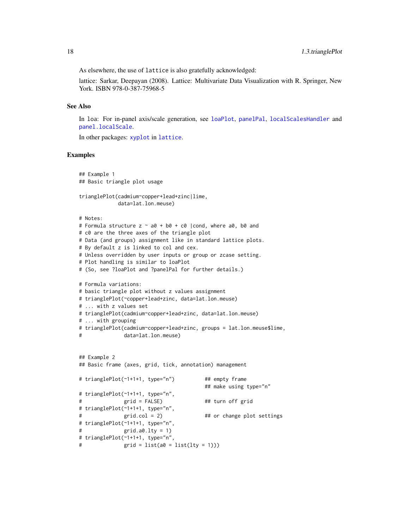<span id="page-17-0"></span>As elsewhere, the use of lattice is also gratefully acknowledged:

lattice: Sarkar, Deepayan (2008). Lattice: Multivariate Data Visualization with R. Springer, New York. ISBN 978-0-387-75968-5

### See Also

In loa: For in-panel axis/scale generation, see [loaPlot](#page-3-1), [panelPal](#page-32-1), [localScalesHandler](#page-39-1) and [panel.localScale](#page-39-1).

In other packages: [xyplot](#page-0-0) in [lattice](#page-0-0).

#### Examples

```
## Example 1
## Basic triangle plot usage
trianglePlot(cadmium~copper+lead+zinc|lime,
            data=lat.lon.meuse)
# Notes:
# Formula structure z \sim a\theta + b\theta + c\theta |cond, where a0, b0 and
# c0 are the three axes of the triangle plot
# Data (and groups) assignment like in standard lattice plots.
# By default z is linked to col and cex.
# Unless overridden by user inputs or group or zcase setting.
# Plot handling is similar to loaPlot
# (So, see ?loaPlot and ?panelPal for further details.)
# Formula variations:
# basic triangle plot without z values assignment
# trianglePlot(~copper+lead+zinc, data=lat.lon.meuse)
# ... with z values set
# trianglePlot(cadmium~copper+lead+zinc, data=lat.lon.meuse)
# ... with grouping
# trianglePlot(cadmium~copper+lead+zinc, groups = lat.lon.meuse$lime,
# data=lat.lon.meuse)
## Example 2
## Basic frame (axes, grid, tick, annotation) management
# trianglePlot(~1+1+1, type="n") ## empty frame
                                       ## make using type="n"
# trianglePlot(~1+1+1, type="n",
# grid = FALSE) ## turn off grid
# trianglePlot(~1+1+1, type="n",
# grid.col = 2) ## or change plot settings
# trianglePlot(~1+1+1, type="n",
# grid.a0.lty = 1)
# trianglePlot(~1+1+1, type="n",
# grid = list(a0 = list(lty = 1)))
```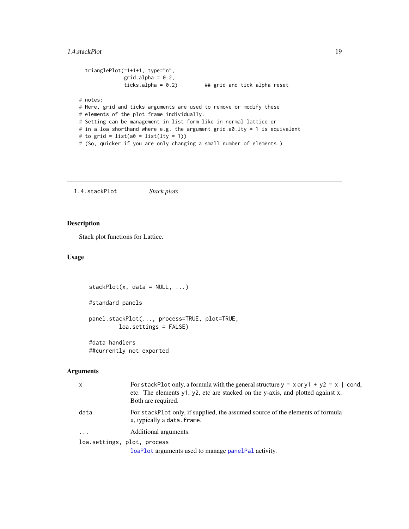```
trianglePlot(~1+1+1, type="n",
              grid.alpha = 0.2,
              ticks.alpha = 0.2) ## grid and tick alpha reset
# notes:
# Here, grid and ticks arguments are used to remove or modify these
# elements of the plot frame individually.
# Setting can be management in list form like in normal lattice or
# in a loa shorthand where e.g. the argument grid.a0.lty = 1 is equivalent
# to grid = list(a0 = list(lty = 1))# (So, quicker if you are only changing a small number of elements.)
```
1.4.stackPlot *Stack plots*

### <span id="page-18-1"></span>Description

Stack plot functions for Lattice.

### Usage

```
stackPlot(x, data = NULL, ...)#standard panels
panel.stackPlot(..., process=TRUE, plot=TRUE,
         loa.settings = FALSE)
#data handlers
##currently not exported
```
### Arguments

| $\mathsf{x}$                | For stackPlot only, a formula with the general structure $y \sim x$ or $y1 + y2 \sim x$   cond,<br>etc. The elements y1, y2, etc are stacked on the y-axis, and plotted against x.<br>Both are required. |
|-----------------------------|----------------------------------------------------------------------------------------------------------------------------------------------------------------------------------------------------------|
| data                        | For stackPlot only, if supplied, the assumed source of the elements of formula<br>x, typically a data. frame.                                                                                            |
| $\ddots$                    | Additional arguments.                                                                                                                                                                                    |
| loa.settings, plot, process |                                                                                                                                                                                                          |
|                             | loaPlot arguments used to manage panelPal activity.                                                                                                                                                      |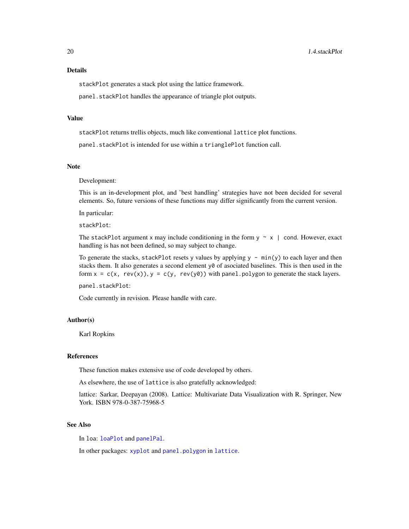### <span id="page-19-0"></span>Details

stackPlot generates a stack plot using the lattice framework.

panel.stackPlot handles the appearance of triangle plot outputs.

### Value

stackPlot returns trellis objects, much like conventional lattice plot functions.

panel.stackPlot is intended for use within a trianglePlot function call.

### Note

Development:

This is an in-development plot, and 'best handling' strategies have not been decided for several elements. So, future versions of these functions may differ significantly from the current version.

In particular:

stackPlot:

The stackPlot argument x may include conditioning in the form  $y \sim x$  | cond. However, exact handling is has not been defined, so may subject to change.

To generate the stacks, stackPlot resets y values by applying  $y - min(y)$  to each layer and then stacks them. It also generates a second element y0 of asociated baselines. This is then used in the form  $x = c(x, rev(x)), y = c(y, rev(y0))$  with panel polygon to generate the stack layers.

panel.stackPlot:

Code currently in revision. Please handle with care.

### Author(s)

Karl Ropkins

### References

These function makes extensive use of code developed by others.

As elsewhere, the use of lattice is also gratefully acknowledged:

lattice: Sarkar, Deepayan (2008). Lattice: Multivariate Data Visualization with R. Springer, New York. ISBN 978-0-387-75968-5

#### See Also

In loa: [loaPlot](#page-3-1) and [panelPal](#page-32-1).

In other packages: [xyplot](#page-0-0) and [panel.polygon](#page-0-0) in [lattice](#page-0-0).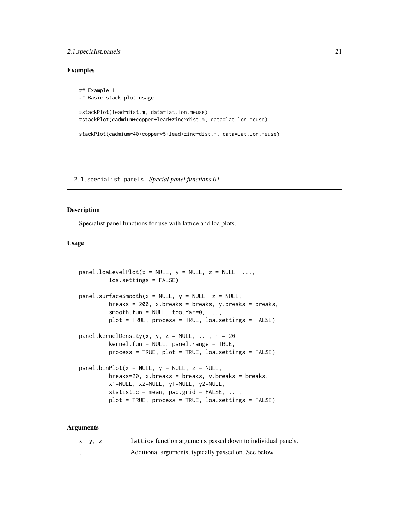### <span id="page-20-0"></span>2.1.specialist.panels 21

### Examples

```
## Example 1
## Basic stack plot usage
#stackPlot(lead~dist.m, data=lat.lon.meuse)
#stackPlot(cadmium+copper+lead+zinc~dist.m, data=lat.lon.meuse)
```
stackPlot(cadmium\*40+copper\*5+lead+zinc~dist.m, data=lat.lon.meuse)

2.1.specialist.panels *Special panel functions 01*

### <span id="page-20-1"></span>Description

Specialist panel functions for use with lattice and loa plots.

### Usage

```
panel.loaLevelPlot(x = NULL, y = NULL, z = NULL, ...,
         loa.settings = FALSE)
panel.surfaceSmooth(x = NULL, y = NULL, z = NULL,breaks = 200, x.breaks = breaks, y.breaks = breaks,
         smooth.fun = NULL, too.far=0, ...plot = TRUE, process = TRUE, loa.settings = FALSE)
panel.kernelDensity(x, y, z = NULL, \ldots, n = 20,
         kernel.fun = NULL, panel.range = TRUE,
         process = TRUE, plot = TRUE, loa.settings = FALSE)
panel.binPlot(x = NULL, y = NULL, z = NULL,breaks=20, x.breaks = breaks, y.breaks = breaks,
         x1=NULL, x2=NULL, y1=NULL, y2=NULL,
         statistic = mean, pad.grid = FALSE, ...,
         plot = TRUE, process = TRUE, loa.settings = FALSE)
```
#### Arguments

| x, y, z | lattice function arguments passed down to individual panels. |
|---------|--------------------------------------------------------------|
| $\cdot$ | Additional arguments, typically passed on. See below.        |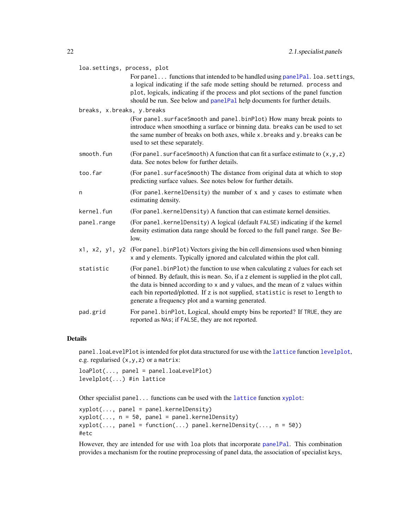<span id="page-21-0"></span>

| loa.settings, process, plot | For panel functions that intended to be handled using panelPal. loa.settings,<br>a logical indicating if the safe mode setting should be returned. process and<br>plot, logicals, indicating if the process and plot sections of the panel function<br>should be run. See below and panelPal help documents for further details.                                                                     |
|-----------------------------|------------------------------------------------------------------------------------------------------------------------------------------------------------------------------------------------------------------------------------------------------------------------------------------------------------------------------------------------------------------------------------------------------|
| breaks, x.breaks, y.breaks  |                                                                                                                                                                                                                                                                                                                                                                                                      |
|                             | (For panel. surfaceSmooth and panel.binPlot) How many break points to<br>introduce when smoothing a surface or binning data. breaks can be used to set<br>the same number of breaks on both axes, while x.breaks and y.breaks can be<br>used to set these separately.                                                                                                                                |
| smooth.fun                  | (For panel. surfaceSmooth) A function that can fit a surface estimate to $(x, y, z)$<br>data. See notes below for further details.                                                                                                                                                                                                                                                                   |
| too.far                     | (For panel. surfaceSmooth) The distance from original data at which to stop<br>predicting surface values. See notes below for further details.                                                                                                                                                                                                                                                       |
| n                           | (For panel.kernelDensity) the number of x and y cases to estimate when<br>estimating density.                                                                                                                                                                                                                                                                                                        |
| kernel.fun                  | (For panel. kernelDensity) A function that can estimate kernel densities.                                                                                                                                                                                                                                                                                                                            |
| panel.range                 | (For panel.kernelDensity) A logical (default FALSE) indicating if the kernel<br>density estimation data range should be forced to the full panel range. See Be-<br>low.                                                                                                                                                                                                                              |
| x1, x2, y1, y2              | (For panel binPlot) Vectors giving the bin cell dimensions used when binning<br>x and y elements. Typically ignored and calculated within the plot call.                                                                                                                                                                                                                                             |
| statistic                   | (For panel.binPlot) the function to use when calculating z values for each set<br>of binned. By default, this is mean. So, if a z element is supplied in the plot call,<br>the data is binned according to x and y values, and the mean of z values within<br>each bin reported/plotted. If z is not supplied, statistic is reset to length to<br>generate a frequency plot and a warning generated. |
| pad.grid                    | For panel.binPlot, Logical, should empty bins be reported? If TRUE, they are<br>reported as NAs; if FALSE, they are not reported.                                                                                                                                                                                                                                                                    |

### Details

panel.loaLevelPlot is intended for plot data structured for use with the [lattice](#page-0-0) function [levelplot](#page-0-0), e.g. regularised (x,y,z) or a matrix:

loaPlot(..., panel = panel.loaLevelPlot) levelplot(...) #in lattice

Other specialist panel... functions can be used with the [lattice](#page-0-0) function [xyplot](#page-0-0):

xyplot(..., panel = panel.kernelDensity)  $xyplot(..., n = 50, panel = panel.kernelDensity)$  $xyplot(..., panel = function(...) panel.kernelDensity(..., n = 50))$ #etc

However, they are intended for use with loa plots that incorporate [panelPal](#page-32-1). This combination provides a mechanism for the routine preprocessing of panel data, the association of specialist keys,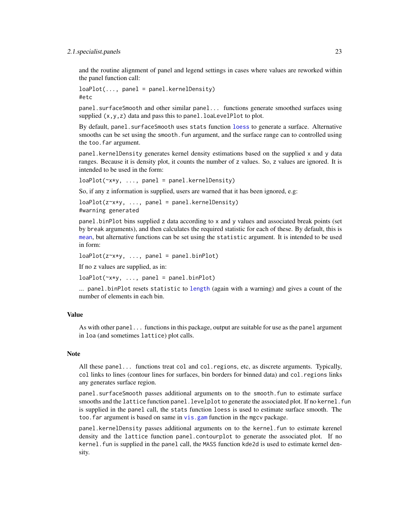#### <span id="page-22-0"></span>2.1.specialist.panels 23

and the routine alignment of panel and legend settings in cases where values are reworked within the panel function call:

 $loaPlot(..., panel = panel.kernelDensity)$ #etc

panel.surfaceSmooth and other similar panel... functions generate smoothed surfaces using supplied  $(x, y, z)$  data and pass this to panel. loaLevelPlot to plot.

By default, panel. surfaceSmooth uses stats function [loess](#page-0-0) to generate a surface. Alternative smooths can be set using the smooth. fun argument, and the surface range can to controlled using the too.far argument.

panel.kernelDensity generates kernel density estimations based on the supplied x and y data ranges. Because it is density plot, it counts the number of z values. So, z values are ignored. It is intended to be used in the form:

loaPlot(~x\*y, ..., panel = panel.kernelDensity)

So, if any z information is supplied, users are warned that it has been ignored, e.g:

loaPlot(z~x\*y, ..., panel = panel.kernelDensity) #warning generated

panel.binPlot bins supplied z data according to x and y values and associated break points (set by break arguments), and then calculates the required statistic for each of these. By default, this is [mean](#page-0-0), but alternative functions can be set using the statistic argument. It is intended to be used in form:

```
loaPlot(z \rightarrow x \rightarrow y, ..., panel = panel.binPlot)
```
If no z values are supplied, as in:

 $loaPlot(\sim x*y, ..., panel = panel.binPlot)$ 

... panel.binPlot resets statistic to [length](#page-0-0) (again with a warning) and gives a count of the number of elements in each bin.

#### Value

As with other panel... functions in this package, output are suitable for use as the panel argument in loa (and sometimes lattice) plot calls.

#### Note

All these panel... functions treat col and col.regions, etc, as discrete arguments. Typically, col links to lines (contour lines for surfaces, bin borders for binned data) and col.regions links any generates surface region.

panel.surfaceSmooth passes additional arguments on to the smooth.fun to estimate surface smooths and the lattice function panel. levelplot to generate the associated plot. If no kernel. fun is supplied in the panel call, the stats function loess is used to estimate surface smooth. The too. far argument is based on same in vis. gam function in the mgcv package.

panel.kernelDensity passes additional arguments on to the kernel.fun to estimate kerenel density and the lattice function panel.contourplot to generate the associated plot. If no kernel. fun is supplied in the panel call, the MASS function kde2d is used to estimate kernel density.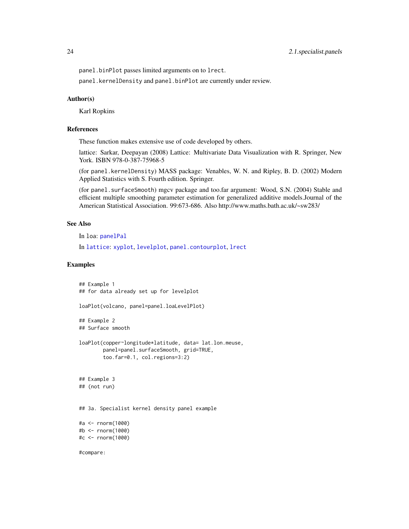<span id="page-23-0"></span>panel.binPlot passes limited arguments on to lrect.

panel.kernelDensity and panel.binPlot are currently under review.

### Author(s)

Karl Ropkins

### References

These function makes extensive use of code developed by others.

lattice: Sarkar, Deepayan (2008) Lattice: Multivariate Data Visualization with R. Springer, New York. ISBN 978-0-387-75968-5

(for panel.kernelDensity) MASS package: Venables, W. N. and Ripley, B. D. (2002) Modern Applied Statistics with S. Fourth edition. Springer.

(for panel.surfaceSmooth) mgcv package and too.far argument: Wood, S.N. (2004) Stable and efficient multiple smoothing parameter estimation for generalized additive models.Journal of the American Statistical Association. 99:673-686. Also http://www.maths.bath.ac.uk/~sw283/

### See Also

In loa: [panelPal](#page-32-1)

In [lattice](#page-0-0): [xyplot](#page-0-0), [levelplot](#page-0-0), [panel.contourplot](#page-0-0), [lrect](#page-0-0)

### Examples

```
## Example 1
## for data already set up for levelplot
loaPlot(volcano, panel=panel.loaLevelPlot)
## Example 2
## Surface smooth
loaPlot(copper~longitude*latitude, data= lat.lon.meuse,
        panel=panel.surfaceSmooth, grid=TRUE,
        too.far=0.1, col.regions=3:2)
## Example 3
## (not run)
## 3a. Specialist kernel density panel example
#a <- rnorm(1000)
#b <- rnorm(1000)
#c <- rnorm(1000)
#compare:
```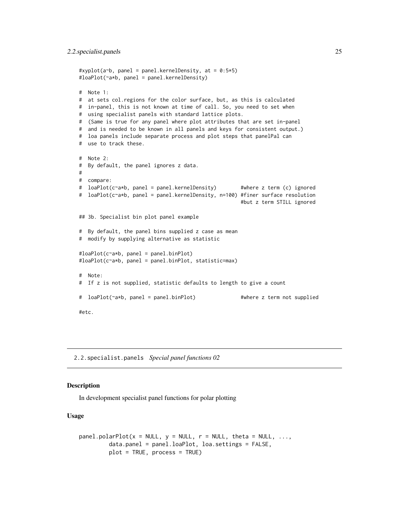```
#xyplot(a~b, panel = panel.kernelDensity, at = 0:5*5)
#loaPlot(~a*b, panel = panel.kernelDensity)
# Note 1:
# at sets col.regions for the color surface, but, as this is calculated
# in-panel, this is not known at time of call. So, you need to set when
# using specialist panels with standard lattice plots.
# (Same is true for any panel where plot attributes that are set in-panel
# and is needed to be known in all panels and keys for consistent output.)
# loa panels include separate process and plot steps that panelPal can
# use to track these.
# Note 2:
# By default, the panel ignores z data.
#
# compare:
# loaPlot(c~a*b, panel = panel.kernelDensity)    #where z term (c) ignored
# loaPlot(c~a*b, panel = panel.kernelDensity, n=100) #finer surface resolution
                                                     #but z term STILL ignored
## 3b. Specialist bin plot panel example
# By default, the panel bins supplied z case as mean
# modify by supplying alternative as statistic
#loaPlot(c~a*b, panel = panel.binPlot)
#loaPlot(c~a*b, panel = panel.binPlot, statistic=max)
# Note:
# If z is not supplied, statistic defaults to length to give a count
# loaPlot(~a*b, panel = panel.binPlot) #where z term not supplied
#etc.
```
2.2.specialist.panels *Special panel functions 02*

### <span id="page-24-1"></span>Description

In development specialist panel functions for polar plotting

#### Usage

```
panel.polarPlot(x = NULL, y = NULL, r = NULL, theta = NULL, ...,
         data.panel = panel.loaPlot, loa.settings = FALSE,
         plot = TRUE, process = TRUE)
```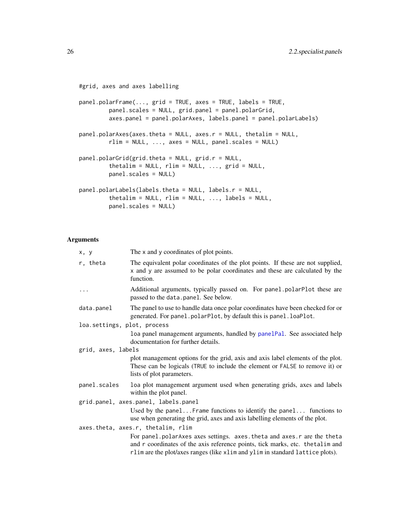```
#grid, axes and axes labelling
panel.polarFrame(..., grid = TRUE, axes = TRUE, labels = TRUE,
         panel.scales = NULL, grid.panel = panel.polarGrid,
         axes.panel = panel.polarAxes, labels.panel = panel.polarLabels)
panel.polarAxes(axes.theta = NULL, axes.r = NULL, thetalim = NULL,
        rlim = NULL, ..., axes = NULL, panel.scales = NULL)
panel.polarGrid(grid.theta = NULL, grid.r = NULL,thetalim = NULL, rlim = NULL, ..., grid = NULL,
        panel.scales = NULL)
panel.polarLabels(labels.theta = NULL, labels.r = NULL,
         thetalim = NULL, rlim = NULL, ..., labels = NULL,
         panel.scales = NULL)
```
#### Arguments

| x, y                               | The x and y coordinates of plot points.                                                                                                                                                      |
|------------------------------------|----------------------------------------------------------------------------------------------------------------------------------------------------------------------------------------------|
| r, theta                           | The equivalent polar coordinates of the plot points. If these are not supplied,<br>x and y are assumed to be polar coordinates and these are calculated by the<br>function.                  |
| .                                  | Additional arguments, typically passed on. For panel.polarPlot these are<br>passed to the data.panel. See below.                                                                             |
| data.panel                         | The panel to use to handle data once polar coordinates have been checked for or<br>generated. For panel.polarPlot, by default this is panel.loaPlot.                                         |
| loa.settings, plot, process        |                                                                                                                                                                                              |
|                                    | loa panel management arguments, handled by panelPal. See associated help<br>documentation for further details.                                                                               |
| grid, axes, labels                 |                                                                                                                                                                                              |
|                                    | plot management options for the grid, axis and axis label elements of the plot.<br>These can be logicals (TRUE to include the element or FALSE to remove it) or<br>lists of plot parameters. |
| panel.scales                       | loa plot management argument used when generating grids, axes and labels<br>within the plot panel.                                                                                           |
|                                    | grid.panel, axes.panel, labels.panel                                                                                                                                                         |
|                                    | Used by the panelFrame functions to identify the panel functions to<br>use when generating the grid, axes and axis labelling elements of the plot.                                           |
| axes.theta, axes.r, thetalim, rlim |                                                                                                                                                                                              |
|                                    | For panel.polarAxes axes settings. axes.theta and axes.r are the theta                                                                                                                       |
|                                    | and r coordinates of the axis reference points, tick marks, etc. the talim and<br>rlim are the plot/axes ranges (like xlim and ylim in standard lattice plots).                              |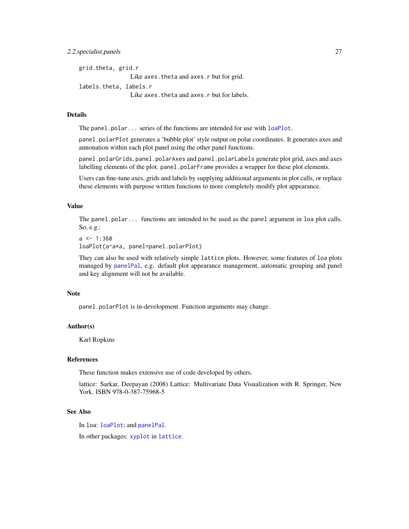### <span id="page-26-0"></span>2.2.specialist.panels 27

grid.theta, grid.r Like axes. theta and axes. r but for grid. labels.theta, labels.r Like axes.theta and axes.r but for labels.

### Details

The panel.polar... series of the functions are intended for use with [loaPlot](#page-3-1).

panel.polarPlot generates a 'bubble plot' style output on polar coordinates. It generates axes and annonation within each plot panel using the other panel functions.

panel.polarGrids, panel.polarAxes and panel.polarLabels generate plot grid, axes and axes labelling elements of the plot. panel.polarFrame provides a wrapper for these plot elements.

Users can fine-tune axes, grids and labels by supplying additional arguments in plot calls, or replace these elements with purpose written functions to more completely modify plot appearance.

### Value

The panel.polar... functions are intended to be used as the panel argument in loa plot calls. So, e.g.:

```
a \leq 1:360loaPlot(a~a*a, panel=panel.polarPlot)
```
They can also be used with relatively simple lattice plots. However, some features of loa plots managed by [panelPal](#page-32-1), e.g. default plot appearance management, automatic grouping and panel and key alignment will not be available.

### Note

panel.polarPlot is in-development. Function arguments may change.

### Author(s)

Karl Ropkins

### References

These function makes extensive use of code developed by others.

lattice: Sarkar, Deepayan (2008) Lattice: Multivariate Data Visualization with R. Springer, New York. ISBN 978-0-387-75968-5

### See Also

In loa: [loaPlot](#page-3-1); and [panelPal](#page-32-1).

In other packages: [xyplot](#page-0-0) in [lattice](#page-0-0).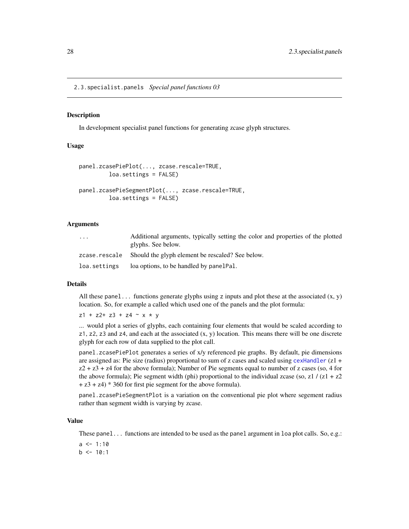<span id="page-27-0"></span>2.3.specialist.panels *Special panel functions 03*

#### Description

In development specialist panel functions for generating zcase glyph structures.

#### Usage

```
panel.zcasePiePlot(..., zcase.rescale=TRUE,
         loa.settings = FALSE)
panel.zcasePieSegmentPlot(..., zcase.rescale=TRUE,
         loa.settings = FALSE)
```
#### Arguments

| $\cdots$     | Additional arguments, typically setting the color and properties of the plotted<br>glyphs. See below. |
|--------------|-------------------------------------------------------------------------------------------------------|
|              | zcase.rescale Should the glyph element be rescaled? See below.                                        |
| loa.settings | loa options, to be handled by panelPal.                                                               |

#### Details

All these panel... functions generate glyphs using z inputs and plot these at the associated  $(x, y)$ location. So, for example a called which used one of the panels and the plot formula:

 $z1 + z2 + z3 + z4 - x + y$ 

... would plot a series of glyphs, each containing four elements that would be scaled according to  $z1$ ,  $z2$ ,  $z3$  and  $z4$ , and each at the associated  $(x, y)$  location. This means there will be one discrete glyph for each row of data supplied to the plot call.

panel.zcasePiePlot generates a series of x/y referenced pie graphs. By default, pie dimensions are assigned as: Pie size (radius) proportional to sum of z cases and scaled using [cexHandler](#page-43-1) (z1 +  $z^2 + z^3 + z^4$  for the above formula); Number of Pie segments equal to number of z cases (so, 4 for the above formula); Pie segment width (phi) proportional to the individual zcase (so, z1 /  $(z1 + z2)$ + z3 + z4) \* 360 for first pie segment for the above formula).

panel.zcasePieSegmentPlot is a variation on the conventional pie plot where segement radius rather than segment width is varying by zcase.

#### Value

These panel... functions are intended to be used as the panel argument in loa plot calls. So, e.g.:

 $a \le -1:10$  $b \le -10:1$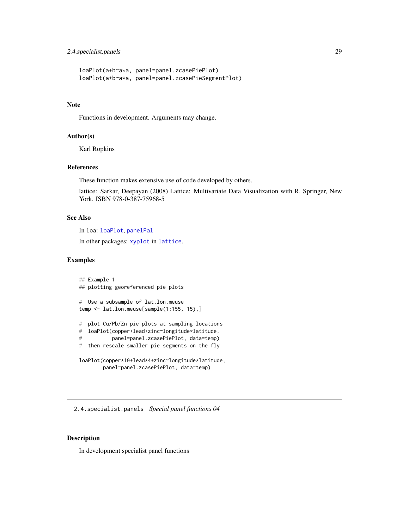### <span id="page-28-0"></span>2.4.specialist.panels 29

```
loaPlot(a+b~a*a, panel=panel.zcasePiePlot)
loaPlot(a+b~a*a, panel=panel.zcasePieSegmentPlot)
```
### Note

Functions in development. Arguments may change.

### Author(s)

Karl Ropkins

#### References

These function makes extensive use of code developed by others.

lattice: Sarkar, Deepayan (2008) Lattice: Multivariate Data Visualization with R. Springer, New York. ISBN 978-0-387-75968-5

### See Also

In loa: [loaPlot](#page-3-1), [panelPal](#page-32-1)

In other packages: [xyplot](#page-0-0) in [lattice](#page-0-0).

#### Examples

```
## Example 1
## plotting georeferenced pie plots
# Use a subsample of lat.lon.meuse
temp <- lat.lon.meuse[sample(1:155, 15),]
# plot Cu/Pb/Zn pie plots at sampling locations
# loaPlot(copper+lead+zinc~longitude*latitude,
# panel=panel.zcasePiePlot, data=temp)
# then rescale smaller pie segments on the fly
loaPlot(copper*10+lead*4+zinc~longitude*latitude,
       panel=panel.zcasePiePlot, data=temp)
```
2.4.specialist.panels *Special panel functions 04*

### Description

In development specialist panel functions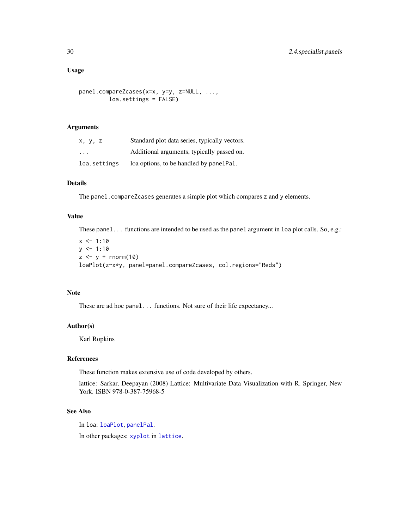### <span id="page-29-0"></span>Usage

```
panel.compareZcases(x=x, y=y, z=NULL, ...,
        loa.settings = FALSE)
```
#### Arguments

| x, y, z                 | Standard plot data series, typically vectors. |
|-------------------------|-----------------------------------------------|
| $\cdot$ $\cdot$ $\cdot$ | Additional arguments, typically passed on.    |
| loa.settings            | loa options, to be handled by panel Pal.      |

### Details

The panel.compareZcases generates a simple plot which compares z and y elements.

### Value

These panel... functions are intended to be used as the panel argument in loa plot calls. So, e.g.:

 $x \le -1:10$  $y \le -1:10$  $z \leftarrow y + \text{rnorm}(10)$ loaPlot(z~x\*y, panel=panel.compareZcases, col.regions="Reds")

#### Note

These are ad hoc panel... functions. Not sure of their life expectancy...

### Author(s)

Karl Ropkins

### References

These function makes extensive use of code developed by others.

lattice: Sarkar, Deepayan (2008) Lattice: Multivariate Data Visualization with R. Springer, New York. ISBN 978-0-387-75968-5

### See Also

In loa: [loaPlot](#page-3-1), [panelPal](#page-32-1).

In other packages: [xyplot](#page-0-0) in [lattice](#page-0-0).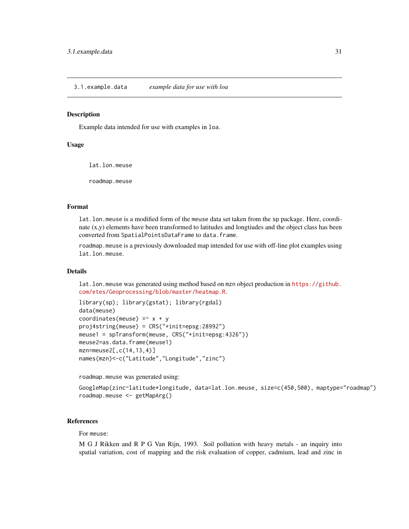<span id="page-30-0"></span>3.1.example.data *example data for use with loa*

#### <span id="page-30-1"></span>**Description**

Example data intended for use with examples in loa.

### Usage

lat.lon.meuse

roadmap.meuse

### Format

lat.lon.meuse is a modified form of the meuse data set taken from the sp package. Here, coordinate (x,y) elements have been transformed to latitudes and longtiudes and the object class has been converted from SpatialPointsDataFrame to data.frame.

roadmap.meuse is a previously downloaded map intended for use with off-line plot examples using lat.lon.meuse.

### Details

lat.lon.meuse was generated using method based on mzn object production in [https://github.](https://github.com/etes/Geoprocessing/blob/master/heatmap.R) [com/etes/Geoprocessing/blob/master/heatmap.R](https://github.com/etes/Geoprocessing/blob/master/heatmap.R).

```
library(sp); library(gstat); library(rgdal)
data(meuse)
coordinates(meuse) =~x + yproj4string(meuse) = CRS("+init=epsg:28992")
meuse1 = spTransform(meuse, CRS("+init=epsg:4326"))
meuse2=as.data.frame(meuse1)
mzn=meuse2[,c(14,13,4)]
names(mzn)<-c("Latitude","Longitude","zinc")
```
roadmap.meuse was generated using:

```
GoogleMap(zinc~latitude*longitude, data=lat.lon.meuse, size=c(450,500), maptype="roadmap")
roadmap.meuse <- getMapArg()
```
#### References

For meuse:

M G J Rikken and R P G Van Rijn, 1993. Soil pollution with heavy metals - an inquiry into spatial variation, cost of mapping and the risk evaluation of copper, cadmium, lead and zinc in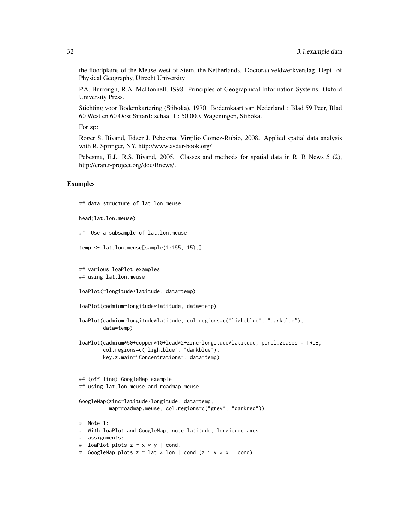the floodplains of the Meuse west of Stein, the Netherlands. Doctoraalveldwerkverslag, Dept. of Physical Geography, Utrecht University

P.A. Burrough, R.A. McDonnell, 1998. Principles of Geographical Information Systems. Oxford University Press.

Stichting voor Bodemkartering (Stiboka), 1970. Bodemkaart van Nederland : Blad 59 Peer, Blad 60 West en 60 Oost Sittard: schaal 1 : 50 000. Wageningen, Stiboka.

For sp:

Roger S. Bivand, Edzer J. Pebesma, Virgilio Gomez-Rubio, 2008. Applied spatial data analysis with R. Springer, NY. http://www.asdar-book.org/

Pebesma, E.J., R.S. Bivand, 2005. Classes and methods for spatial data in R. R News 5 (2), http://cran.r-project.org/doc/Rnews/.

#### Examples

```
## data structure of lat.lon.meuse
head(lat.lon.meuse)
## Use a subsample of lat.lon.meuse
temp <- lat.lon.meuse[sample(1:155, 15),]
## various loaPlot examples
## using lat.lon.meuse
loaPlot(~longitude*latitude, data=temp)
loaPlot(cadmium~longitude*latitude, data=temp)
loaPlot(cadmium~longitude*latitude, col.regions=c("lightblue", "darkblue"),
        data=temp)
loaPlot(cadmium*50+copper*10+lead*2+zinc~longitude*latitude, panel.zcases = TRUE,
        col.regions=c("lightblue", "darkblue"),
       key.z.main="Concentrations", data=temp)
## (off line) GoogleMap example
## using lat.lon.meuse and roadmap.meuse
GoogleMap(zinc~latitude*longitude, data=temp,
         map=roadmap.meuse, col.regions=c("grey", "darkred"))
# Note 1:
# With loaPlot and GoogleMap, note latitude, longitude axes
# assignments:
# loaPlot plots z ~ x * y | cond.
# GoogleMap plots z \sim lat * lon | cond (z \sim y * x | cond)
```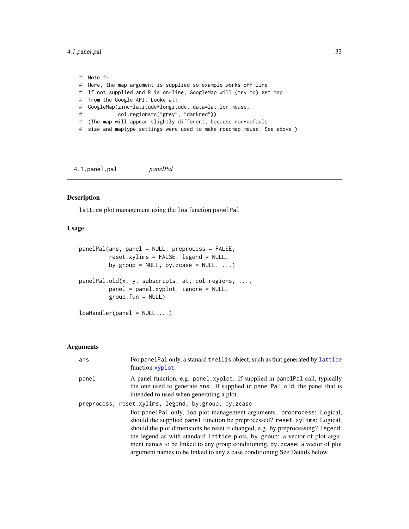<span id="page-32-0"></span>4.1.panel.pal 33

# Note 2: # Here, the map argument is supplied so example works off-line. # If not supplied and R is on-line, GoogleMap will (try to) get map # from the Google API. Looke at: # GoogleMap(zinc~latitude\*longitude, data=lat.lon.meuse, # col.regions=c("grey", "darkred")) # (The map will appear slightly different, because non-default # size and maptype settings were used to make roadmap.meuse. See above.)

4.1.panel.pal *panelPal*

### <span id="page-32-1"></span>Description

lattice plot management using the loa function panelPal

### Usage

```
panelPal(ans, panel = NULL, preprocess = FALSE,
         reset.xylims = FALSE, legend = NULL,
         by.group = NULL, by.zcase = NULL, ...)panelPal.old(x, y, subscripts, at, col.regions, ...,
         panel = panel.xyplot, ignore = NULL,
         group.fun = NULL)
loabA and <math>ler(panel = NULL, ...)</math>
```
#### Arguments

| ans   | For panelPal only, a stanard trellis object, such as that generated by lattice<br>function xyplot.                                                                                                                                                                                                                                                                                                                                                                                    |
|-------|---------------------------------------------------------------------------------------------------------------------------------------------------------------------------------------------------------------------------------------------------------------------------------------------------------------------------------------------------------------------------------------------------------------------------------------------------------------------------------------|
| panel | A panel function, e.g. panel xyplot. If supplied in panel Pal call, typically<br>the one used to generate ans. If supplied in panelPal.old, the panel that is<br>intended to used when generating a plot.                                                                                                                                                                                                                                                                             |
|       | preprocess, reset.xylims, legend, by.group, by.zcase                                                                                                                                                                                                                                                                                                                                                                                                                                  |
|       | For panelPal only, loa plot management arguments. proprocess: Logical,<br>should the supplied panel function be preprocessed? reset.xylims: Logical,<br>should the plot dimensions be reset if changed, e.g. by preprocessing? legend:<br>the legend as with standard lattice plots, by group: a vector of plot argu-<br>ment names to be linked to any group conditioning, by . zcase: a vector of plot<br>argument names to be linked to any z case conditioning See Details below. |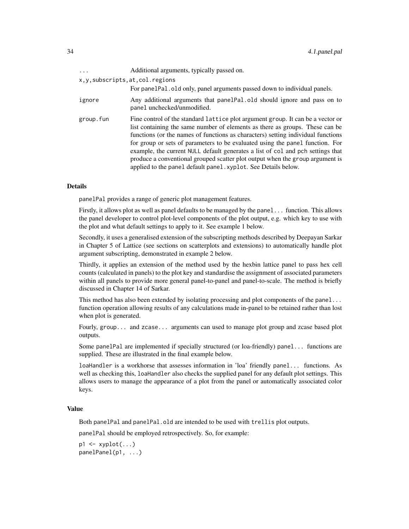| $\cdots$                      | Additional arguments, typically passed on.                                                                                                                                                                                                                                                                                                                                                                                                                                                                                                                                 |
|-------------------------------|----------------------------------------------------------------------------------------------------------------------------------------------------------------------------------------------------------------------------------------------------------------------------------------------------------------------------------------------------------------------------------------------------------------------------------------------------------------------------------------------------------------------------------------------------------------------------|
| x,y,subscripts,at,col.regions |                                                                                                                                                                                                                                                                                                                                                                                                                                                                                                                                                                            |
|                               | For panel Pal old only, panel arguments passed down to individual panels.                                                                                                                                                                                                                                                                                                                                                                                                                                                                                                  |
| ignore                        | Any additional arguments that panelPal.old should ignore and pass on to<br>panel unchecked/unmodified.                                                                                                                                                                                                                                                                                                                                                                                                                                                                     |
| group.fun                     | Fine control of the standard lattice plot argument group. It can be a vector or<br>list containing the same number of elements as there as groups. These can be<br>functions (or the names of functions as characters) setting individual functions<br>for group or sets of parameters to be evaluated using the panel function. For<br>example, the current NULL default generates a list of col and pch settings that<br>produce a conventional grouped scatter plot output when the group argument is<br>applied to the panel default panel. xyplot. See Details below. |

#### Details

panelPal provides a range of generic plot management features.

Firstly, it allows plot as well as panel defaults to be managed by the panel... function. This allows the panel developer to control plot-level components of the plot output, e.g. which key to use with the plot and what default settings to apply to it. See example 1 below.

Secondly, it uses a generalised extension of the subscripting methods described by Deepayan Sarkar in Chapter 5 of Lattice (see sections on scatterplots and extensions) to automatically handle plot argument subscripting, demonstrated in example 2 below.

Thirdly, it applies an extension of the method used by the hexbin lattice panel to pass hex cell counts (calculated in panels) to the plot key and standardise the assignment of associated parameters within all panels to provide more general panel-to-panel and panel-to-scale. The method is briefly discussed in Chapter 14 of Sarkar.

This method has also been extended by isolating processing and plot components of the panel... function operation allowing results of any calculations made in-panel to be retained rather than lost when plot is generated.

Fourly, group... and zcase... arguments can used to manage plot group and zcase based plot outputs.

Some panelPal are implemented if specially structured (or loa-friendly) panel... functions are supplied. These are illustrated in the final example below.

loaHandler is a workhorse that assesses information in 'loa' friendly panel... functions. As well as checking this, loaHandler also checks the supplied panel for any default plot settings. This allows users to manage the appearance of a plot from the panel or automatically associated color keys.

### Value

Both panelPal and panelPal.old are intended to be used with trellis plot outputs.

panelPal should be employed retrospectively. So, for example:

 $p1 \leftarrow xyplot(...)$ panelPanel(p1, ...)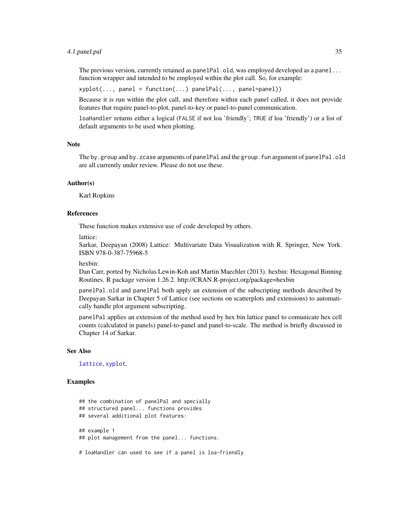#### <span id="page-34-0"></span>4.1.panel.pal 35

The previous version, currently retained as panelPal.old, was employed developed as a panel... function wrapper and intended to be employed within the plot call. So, for example:

xyplot(..., panel = function(...) panelPal(..., panel=panel))

Because it is run within the plot call, and therefore within each panel called, it does not provide features that require panel-to-plot, panel-to-key or panel-to-panel communication.

loaHandler returns either a logical (FALSE if not loa 'friendly'; TRUE if loa 'friendly') or a list of default arguments to be used when plotting.

### Note

The by.group and by.zcase arguments of panelPal and the group.fun argument of panelPal.old are all currently under review. Please do not use these.

#### Author(s)

Karl Ropkins

### References

These function makes extensive use of code developed by others.

lattice:

Sarkar, Deepayan (2008) Lattice: Multivariate Data Visualization with R. Springer, New York. ISBN 978-0-387-75968-5

hexbin:

Dan Carr, ported by Nicholas Lewin-Koh and Martin Maechler (2013). hexbin: Hexagonal Binning Routines. R package version 1.26.2. http://CRAN.R-project.org/package=hexbin

panelPal.old and panelPal both apply an extension of the subscripting methods described by Deepayan Sarkar in Chapter 5 of Lattice (see sections on scatterplots and extensions) to automatically handle plot argument subscripting.

panelPal applies an extension of the method used by hex bin lattice panel to comunicate hex cell counts (calculated in panels) panel-to-panel and panel-to-scale. The method is briefly discussed in Chapter 14 of Sarkar.

#### See Also

[lattice](#page-0-0), [xyplot](#page-0-0),

#### Examples

```
## the combination of panelPal and specially
## structured panel... functions provides
## several additional plot features:
## example 1
## plot management from the panel... functions.
```
# loaHandler can used to see if a panel is loa-friendly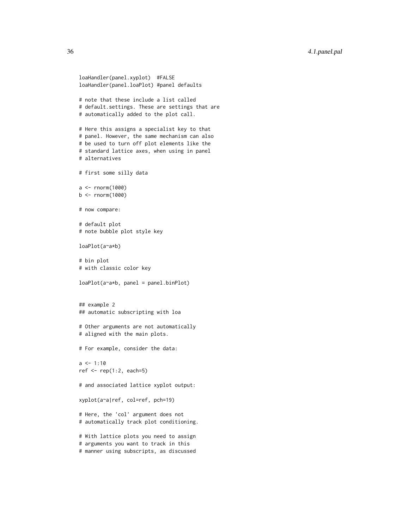```
loaHandler(panel.xyplot) #FALSE
loaHandler(panel.loaPlot) #panel defaults
# note that these include a list called
# default.settings. These are settings that are
# automatically added to the plot call.
# Here this assigns a specialist key to that
# panel. However, the same mechanism can also
# be used to turn off plot elements like the
# standard lattice axes, when using in panel
# alternatives
# first some silly data
a < - rnorm(1000)
b \le rnorm(1000)
# now compare:
# default plot
# note bubble plot style key
loaPlot(a~a*b)
# bin plot
# with classic color key
loaPlot(a~a*b, panel = panel.binPlot)
## example 2
## automatic subscripting with loa
# Other arguments are not automatically
# aligned with the main plots.
# For example, consider the data:
a \le -1:10ref <- rep(1:2, each=5)
# and associated lattice xyplot output:
xyplot(a~a|ref, col=ref, pch=19)
# Here, the 'col' argument does not
# automatically track plot conditioning.
# With lattice plots you need to assign
# arguments you want to track in this
# manner using subscripts, as discussed
```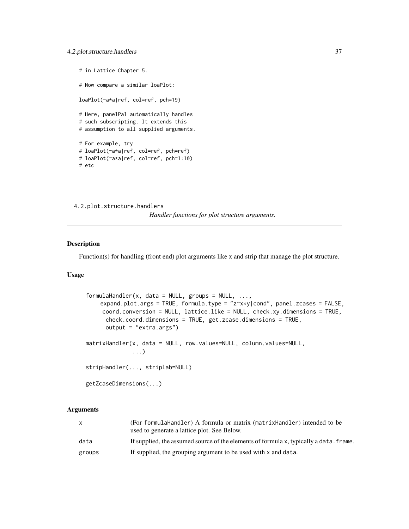```
# in Lattice Chapter 5.
# Now compare a similar loaPlot:
loaPlot(~a*a|ref, col=ref, pch=19)
# Here, panelPal automatically handles
# such subscripting. It extends this
# assumption to all supplied arguments.
# For example, try
# loaPlot(~a*a|ref, col=ref, pch=ref)
# loaPlot(~a*a|ref, col=ref, pch=1:10)
# etc
```

```
4.2.plot.structure.handlers
```
*Handler functions for plot structure arguments.*

### <span id="page-36-1"></span>Description

Function(s) for handling (front end) plot arguments like x and strip that manage the plot structure.

### Usage

```
formulah andler(x, data = NULL, groups = NULL, ...,expand.plot.args = TRUE, formula.type = "z~x*y|cond", panel.zcases = FALSE,
     coord.conversion = NULL, lattice.like = NULL, check.xy.dimensions = TRUE,
      check.coord.dimensions = TRUE, get.zcase.dimensions = TRUE,
      output = "extra.args")
matrixHandler(x, data = NULL, row.values=NULL, column.values=NULL,
              ...)
stripHandler(..., striplab=NULL)
getZcaseDimensions(...)
```
### Arguments

|        | (For formula Handler) A formula or matrix (matrix Handler) intended to be              |
|--------|----------------------------------------------------------------------------------------|
|        | used to generate a lattice plot. See Below.                                            |
| data   | If supplied, the assumed source of the elements of formula x, typically a data, frame. |
| groups | If supplied, the grouping argument to be used with x and data.                         |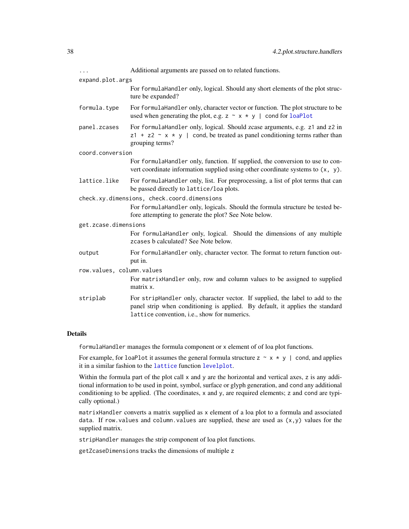<span id="page-37-0"></span>

|                           | Additional arguments are passed on to related functions.                                                                                                                                                       |
|---------------------------|----------------------------------------------------------------------------------------------------------------------------------------------------------------------------------------------------------------|
| expand.plot.args          |                                                                                                                                                                                                                |
|                           | For formulaHandler only, logical. Should any short elements of the plot struc-<br>ture be expanded?                                                                                                            |
| formula.type              | For formulaHandler only, character vector or function. The plot structure to be<br>used when generating the plot, e.g. $z \sim x * y$   cond for loaPlot                                                       |
| panel.zcases              | For formulaHandler only, logical. Should zcase arguments, e.g. z1 and z2 in<br>$z1 + z2 \sim x \times y$ cond, be treated as panel conditioning terms rather than<br>grouping terms?                           |
| coord.conversion          |                                                                                                                                                                                                                |
|                           | For formulaHandler only, function. If supplied, the conversion to use to con-<br>vert coordinate information supplied using other coordinate systems to (x, y).                                                |
| lattice.like              | For formulaHandler only, list. For preprocessing, a list of plot terms that can<br>be passed directly to lattice/loa plots.                                                                                    |
|                           | check.xy.dimensions, check.coord.dimensions                                                                                                                                                                    |
|                           | For formulaHandler only, logicals. Should the formula structure be tested be-<br>fore attempting to generate the plot? See Note below.                                                                         |
| get.zcase.dimensions      |                                                                                                                                                                                                                |
|                           | For formulaHandler only, logical. Should the dimensions of any multiple<br>zcases b calculated? See Note below.                                                                                                |
| output                    | For formulaHandler only, character vector. The format to return function out-<br>put in.                                                                                                                       |
| row.values, column.values |                                                                                                                                                                                                                |
|                           | For matrixHandler only, row and column values to be assigned to supplied<br>matrix x.                                                                                                                          |
| striplab                  | For stripHandler only, character vector. If supplied, the label to add to the<br>panel strip when conditioning is applied. By default, it applies the standard<br>lattice convention, i.e., show for numerics. |
|                           |                                                                                                                                                                                                                |

### Details

formulaHandler manages the formula component or x element of of loa plot functions.

For example, for loaPlot it assumes the general formula structure  $z \sim x * y$  | cond, and applies it in a similar fashion to the [lattice](#page-0-0) function [levelplot](#page-0-0).

Within the formula part of the plot call  $x$  and  $y$  are the horizontal and vertical axes,  $z$  is any additional information to be used in point, symbol, surface or glyph generation, and cond any additional conditioning to be applied. (The coordinates, x and y, are required elements; z and cond are typically optional.)

matrixHandler converts a matrix supplied as x element of a loa plot to a formula and associated data. If row.values and column.values are supplied, these are used as  $(x, y)$  values for the supplied matrix.

stripHandler manages the strip component of loa plot functions.

getZcaseDimensions tracks the dimensions of multiple z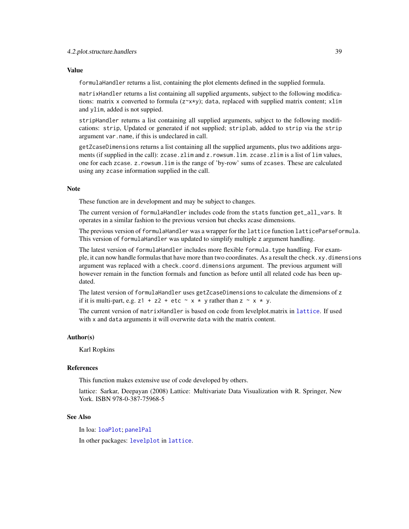### <span id="page-38-0"></span>Value

formulaHandler returns a list, containing the plot elements defined in the supplied formula.

matrixHandler returns a list containing all supplied arguments, subject to the following modifications: matrix x converted to formula (z~x\*y); data, replaced with supplied matrix content; xlim and ylim, added is not suppied.

stripHandler returns a list containing all supplied arguments, subject to the following modifications: strip, Updated or generated if not supplied; striplab, added to strip via the strip argument var.name, if this is undeclared in call.

getZcaseDimensions returns a list containing all the supplied arguments, plus two additions arguments (if supplied in the call): zcase.zlim and z.rowsum.lim. zcase.zlim is a list of lim values, one for each zcase. z.rowsum.lim is the range of 'by-row' sums of zcases. These are calculated using any zcase information supplied in the call.

#### **Note**

These function are in development and may be subject to changes.

The current version of formulaHandler includes code from the stats function get\_all\_vars. It operates in a similar fashion to the previous version but checks zcase dimensions.

The previous version of formulaHandler was a wrapper for the lattice function latticeParseFormula. This version of formulaHandler was updated to simplify multiple z argument handling.

The latest version of formulaHandler includes more flexible formula.type handling. For example, it can now handle formulas that have more than two coordinates. As a result the check.xy.dimensions argument was replaced with a check.coord.dimensions argument. The previous argument will however remain in the function formals and function as before until all related code has been updated.

The latest version of formulaHandler uses getZcaseDimensions to calculate the dimensions of z if it is multi-part, e.g.  $z1 + z2 + etc \sim x * y$  rather than  $z \sim x * y$ .

The current version of matrixHandler is based on code from levelplot.matrix in [lattice](#page-0-0). If used with x and data arguments it will overwrite data with the matrix content.

#### Author(s)

Karl Ropkins

### References

This function makes extensive use of code developed by others.

lattice: Sarkar, Deepayan (2008) Lattice: Multivariate Data Visualization with R. Springer, New York. ISBN 978-0-387-75968-5

### See Also

In loa: [loaPlot](#page-3-1); [panelPal](#page-32-1)

In other packages: [levelplot](#page-0-0) in [lattice](#page-0-0).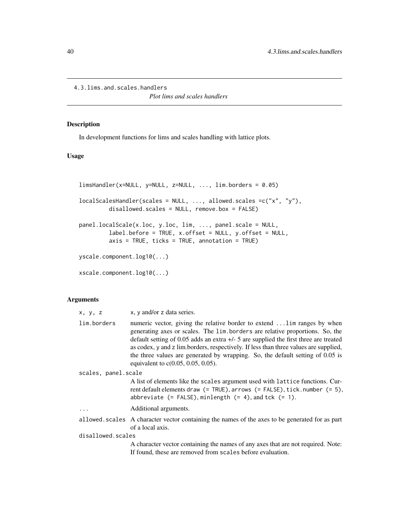```
4.3.lims.and.scales.handlers
```
*Plot lims and scales handlers*

### <span id="page-39-1"></span>Description

In development functions for lims and scales handling with lattice plots.

### Usage

```
limsHandler(x=NULL, y=NULL, z=NULL, ..., lim.borders = 0.05)
localScalesHandler(scales = NULL, ..., allowed.scales =c("x", "y"),
         disallowed.scales = NULL, remove.box = FALSE)
panel.localScale(x.loc, y.loc, lim, ..., panel.scale = NULL,
        label.before = TRUE, x.offset = NULL, y.offset = NULL,
         axis = TRUE, ticks = TRUE, annotation = TRUE)
yscale.component.log10(...)
xscale.component.log10(...)
```
#### Arguments

| x, y, z             | x, y and/or z data series.                                                                                                                                                                                                                                                                                                                                                                                                                                            |  |
|---------------------|-----------------------------------------------------------------------------------------------------------------------------------------------------------------------------------------------------------------------------------------------------------------------------------------------------------------------------------------------------------------------------------------------------------------------------------------------------------------------|--|
| lim.borders         | numeric vector, giving the relative border to extend  lim ranges by when<br>generating axes or scales. The lim borders are relative proportions. So, the<br>default setting of 0.05 adds an extra $+/-$ 5 are supplied the first three are treated<br>as codex, y and z lim.borders, respectively. If less than three values are supplied,<br>the three values are generated by wrapping. So, the default setting of 0.05 is<br>equivalent to $c(0.05, 0.05, 0.05)$ . |  |
| scales, panel.scale |                                                                                                                                                                                                                                                                                                                                                                                                                                                                       |  |
|                     | A list of elements like the scales argument used with lattice functions. Cur-<br>rent default elements draw (= TRUE), arrows (= FALSE), tick.number (= 5),<br>abbreviate $(=\text{FALSE})$ , minlength $(=\text{4})$ , and tck $(=\text{1})$ .                                                                                                                                                                                                                        |  |
| .                   | Additional arguments.                                                                                                                                                                                                                                                                                                                                                                                                                                                 |  |
|                     | allowed. scales A character vector containing the names of the axes to be generated for as part<br>of a local axis.                                                                                                                                                                                                                                                                                                                                                   |  |
| disallowed.scales   |                                                                                                                                                                                                                                                                                                                                                                                                                                                                       |  |
|                     | A character vector containing the names of any axes that are not required. Note:<br>If found, these are removed from scales before evaluation.                                                                                                                                                                                                                                                                                                                        |  |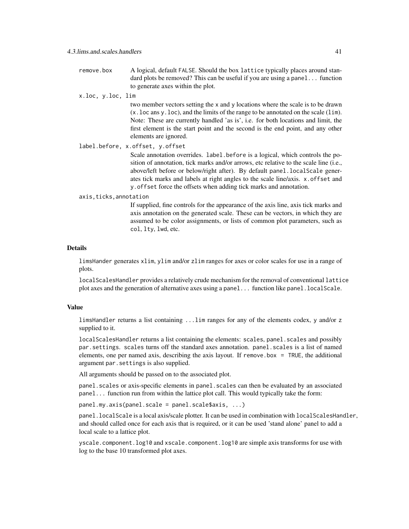remove.box A logical, default FALSE. Should the box lattice typically places around standard plots be removed? This can be useful if you are using a panel... function to generate axes within the plot.

#### x.loc, y.loc, lim

two member vectors setting the x and y locations where the scale is to be drawn (x.loc ans y.loc), and the limits of the range to be annotated on the scale (lim). Note: These are currently handled 'as is', i.e. for both locations and limit, the first element is the start point and the second is the end point, and any other elements are ignored.

label.before, x.offset, y.offset

Scale annotation overrides. label.before is a logical, which controls the position of annotation, tick marks and/or arrows, etc relative to the scale line (i.e., above/left before or below/right after). By default panel.localScale generates tick marks and labels at right angles to the scale line/axis. x.offset and y.offset force the offsets when adding tick marks and annotation.

#### axis,ticks,annotation

If supplied, fine controls for the appearance of the axis line, axis tick marks and axis annotation on the generated scale. These can be vectors, in which they are assumed to be color assignments, or lists of common plot parameters, such as col, lty, lwd, etc.

#### Details

limsHander generates xlim, ylim and/or zlim ranges for axes or color scales for use in a range of plots.

localScalesHandler provides a relatively crude mechanism for the removal of conventional lattice plot axes and the generation of alternative axes using a panel... function like panel.localScale.

#### Value

limsHandler returns a list containing ...lim ranges for any of the elements codex, y and/or z supplied to it.

localScalesHandler returns a list containing the elements: scales, panel.scales and possibly par.settings. scales turns off the standard axes annotation. panel.scales is a list of named elements, one per named axis, describing the axis layout. If remove box  $=$  TRUE, the additional argument par.settings is also supplied.

All arguments should be passed on to the associated plot.

panel.scales or axis-specific elements in panel.scales can then be evaluated by an associated panel... function run from within the lattice plot call. This would typically take the form:

panel.my.axis(panel.scale = panel.scale\$axis, ...)

panel.localScale is a local axis/scale plotter. It can be used in combination with localScalesHandler, and should called once for each axis that is required, or it can be used 'stand alone' panel to add a local scale to a lattice plot.

yscale.component.log10 and xscale.component.log10 are simple axis transforms for use with log to the base 10 transformed plot axes.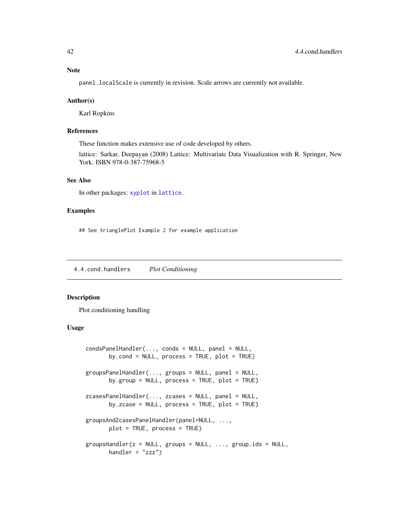### <span id="page-41-0"></span>Note

panel.localScale is currently in revision. Scale arrows are currently not available.

### Author(s)

Karl Ropkins

### References

These function makes extensive use of code developed by others.

lattice: Sarkar, Deepayan (2008) Lattice: Multivariate Data Visualization with R. Springer, New York. ISBN 978-0-387-75968-5

### See Also

In other packages: [xyplot](#page-0-0) in [lattice](#page-0-0).

#### Examples

## See trianglePlot Example 2 for example application

4.4.cond.handlers *Plot Conditioning*

#### <span id="page-41-1"></span>Description

Plot conditioning handling

### Usage

```
condsPanelHandler(..., conds = NULL, panel = NULL,
       by.cond = NULL, process = TRUE, plot = TRUE)
groupsPanelHandler(..., groups = NULL, panel = NULL,
       by.group = NULL, process = TRUE, plot = TRUE)
zcasesPanelHandler(..., zcases = NULL, panel = NULL,
       by.zcase = NULL, process = TRUE, plot = TRUE)
groupsAndZcasesPanelHandler(panel=NULL, ...,
       plot = TRUE, process = TRUE)
groupsHandler(z = NULL, groups = NULL, ..., group.ids = NULL,
      handler = "zzz")
```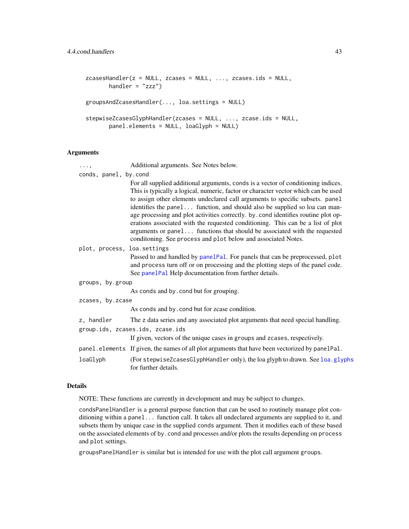```
zcasesHandler(z = NULL, zcases = NULL, ..., zcases.ids = NULL,
      handler = "zzz")groupsAndZcasesHandler(..., loa.settings = NULL)
stepwiseZcasesGlyphHandler(zcases = NULL, ..., zcase.ids = NULL,
       panel.elements = NULL, loaGlyph = NULL)
```
### Arguments

| . ,                         | Additional arguments. See Notes below.                                                                                                                                                                                                                                                                                                                                                                                                                                                                                                                                                                                                                         |
|-----------------------------|----------------------------------------------------------------------------------------------------------------------------------------------------------------------------------------------------------------------------------------------------------------------------------------------------------------------------------------------------------------------------------------------------------------------------------------------------------------------------------------------------------------------------------------------------------------------------------------------------------------------------------------------------------------|
| conds, panel, by.cond       | For all supplied additional arguments, conds is a vector of conditioning indices.<br>This is typically a logical, numeric, factor or character vector which can be used<br>to assign other elements undeclared call arguments to specific subsets. panel<br>identifies the panel function, and should also be supplied so loa can man-<br>age processing and plot activities correctly. by . cond identifies routine plot op-<br>erations associated with the requested conditioning. This can be a list of plot<br>arguments or panel functions that should be associated with the requested<br>conditoning. See process and plot below and associated Notes. |
| plot, process, loa.settings | Passed to and handled by panelPal. For panels that can be preprocessed, plot<br>and process turn off or on processing and the plotting steps of the panel code.<br>See panelPal Help documentation from further details.                                                                                                                                                                                                                                                                                                                                                                                                                                       |
| groups, by.group            |                                                                                                                                                                                                                                                                                                                                                                                                                                                                                                                                                                                                                                                                |
|                             | As conds and by cond but for grouping.                                                                                                                                                                                                                                                                                                                                                                                                                                                                                                                                                                                                                         |
| zcases, by.zcase            |                                                                                                                                                                                                                                                                                                                                                                                                                                                                                                                                                                                                                                                                |
|                             | As conds and by. cond but for zcase condition.                                                                                                                                                                                                                                                                                                                                                                                                                                                                                                                                                                                                                 |
| z, handler                  | The z data series and any associated plot arguments that need special handling.<br>group.ids, zcases.ids, zcase.ids<br>If given, vectors of the unique cases in groups and zcases, respectively.                                                                                                                                                                                                                                                                                                                                                                                                                                                               |
|                             | panel.elements If given, the names of all plot arguments that have been vectorized by panelPal.                                                                                                                                                                                                                                                                                                                                                                                                                                                                                                                                                                |
| loaGlyph                    | (For stepwiseZcasesGlyphHandler only), the loa glyph to drawn. See loa.glyphs<br>for further details.                                                                                                                                                                                                                                                                                                                                                                                                                                                                                                                                                          |

### Details

NOTE: These functions are currently in development and may be subject to changes.

condsPanelHandler is a general purpose function that can be used to routinely manage plot conditioning within a panel... function call. It takes all undeclared arguments are supplied to it, and subsets them by unique case in the supplied conds argument. Then it modifies each of these based on the associated elements of by.cond and processes and/or plots the results depending on process and plot settings.

groupsPanelHandler is similar but is intended for use with the plot call argument groups.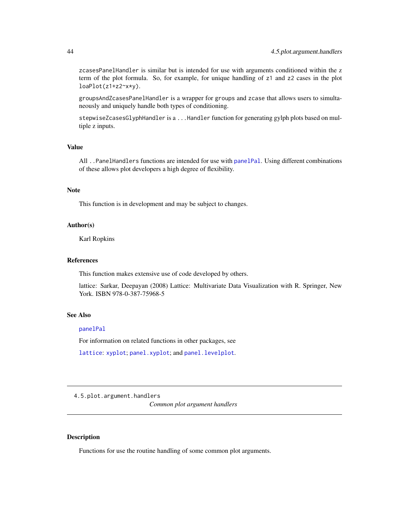<span id="page-43-0"></span>zcasesPanelHandler is similar but is intended for use with arguments conditioned within the z term of the plot formula. So, for example, for unique handling of z1 and z2 cases in the plot loaPlot(z1+z2~x\*y).

groupsAndZcasesPanelHandler is a wrapper for groups and zcase that allows users to simultaneously and uniquely handle both types of conditioning.

stepwiseZcasesGlyphHandler is a . . . Handler function for generating gylph plots based on multiple z inputs.

### Value

All ..PanelHandlers functions are intended for use with [panelPal](#page-32-1). Using different combinations of these allows plot developers a high degree of flexibility.

#### Note

This function is in development and may be subject to changes.

#### Author(s)

Karl Ropkins

### References

This function makes extensive use of code developed by others.

lattice: Sarkar, Deepayan (2008) Lattice: Multivariate Data Visualization with R. Springer, New York. ISBN 978-0-387-75968-5

#### See Also

#### [panelPal](#page-32-1)

For information on related functions in other packages, see

[lattice](#page-0-0): [xyplot](#page-0-0); [panel.xyplot](#page-0-0); and [panel.levelplot](#page-0-0).

4.5.plot.argument.handlers

*Common plot argument handlers*

### <span id="page-43-1"></span>Description

Functions for use the routine handling of some common plot arguments.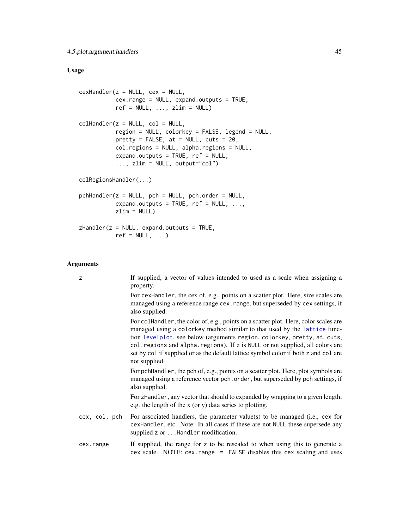### <span id="page-44-0"></span>Usage

```
cexHandler(z = NULL, cex = NULL,
          cex.range = NULL, expand.outputs = TRUE,
          ref = NULL, ..., zlim = NULL)collHandler(z = NULL, col = NULL,
           region = NULL, colorkey = FALSE, legend = NULL,
          pretty = FALSE, at = NULL, cuts = 20,col.regions = NULL, alpha.regions = NULL,
          expand.outputs = TRUE, ref = NULL,
           ..., zlim = NULL, output="col")
colRegionsHandler(...)
pchHandler(z = NULL, pch = NULL, pch.order = NULL,
           expand.outputs = TRUE, ref = NULL, ...,zlim = NULL)
zHandler(z = NULL, expand.outputs = TRUE,
          ref = NULL, ...)
```
### Arguments

| z             | If supplied, a vector of values intended to used as a scale when assigning a<br>property.                                                                                                                                                                                                                                                                                                                                               |
|---------------|-----------------------------------------------------------------------------------------------------------------------------------------------------------------------------------------------------------------------------------------------------------------------------------------------------------------------------------------------------------------------------------------------------------------------------------------|
|               | For cexhandler, the cex of, e.g., points on a scatter plot. Here, size scales are<br>managed using a reference range cex. range, but superseded by cex settings, if<br>also supplied.                                                                                                                                                                                                                                                   |
|               | For collandler, the color of, e.g., points on a scatter plot. Here, color scales are<br>managed using a colorkey method similar to that used by the lattice func-<br>tion levelplot, see below (arguments region, colorkey, pretty, at, cuts,<br>col. regions and alpha. regions). If z is NULL or not supplied, all colors are<br>set by col if supplied or as the default lattice symbol color if both z and col are<br>not supplied. |
|               | For pchHandler, the pch of, e.g., points on a scatter plot. Here, plot symbols are<br>managed using a reference vector pch. order, but superseded by pch settings, if<br>also supplied.                                                                                                                                                                                                                                                 |
|               | For zHandler, any vector that should to expanded by wrapping to a given length,<br>e.g. the length of the x (or y) data series to plotting.                                                                                                                                                                                                                                                                                             |
| cex, col, pch | For associated handlers, the parameter value(s) to be managed (i.e., cex for<br>cexHandler, etc. Note: In all cases if these are not NULL these supersede any<br>supplied z or Handler modification.                                                                                                                                                                                                                                    |
| cex.range     | If supplied, the range for z to be rescaled to when using this to generate a<br>cex scale. NOTE: cex. range = FALSE disables this cex scaling and uses                                                                                                                                                                                                                                                                                  |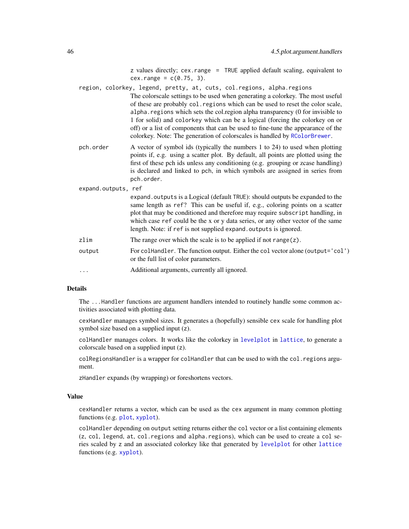z values directly; cex.range = TRUE applied default scaling, equivalent to  $cex.random = c(0.75, 3).$ 

<span id="page-45-0"></span>region, colorkey, legend, pretty, at, cuts, col.regions, alpha.regions The colorscale settings to be used when generating a colorkey. The most useful of these are probably col.regions which can be used to reset the color scale, alpha.regions which sets the col.region alpha transparency (0 for invisible to 1 for solid) and colorkey which can be a logical (forcing the colorkey on or off) or a list of components that can be used to fine-tune the appearance of the colorkey. Note: The generation of colorscales is handled by [RColorBrewer](#page-0-0).

- pch.order A vector of symbol ids (typically the numbers 1 to 24) to used when plotting points if, e.g. using a scatter plot. By default, all points are plotted using the first of these pch ids unless any conditioning (e.g. grouping or zcase handling) is declared and linked to pch, in which symbols are assigned in series from pch.order.
- expand.outputs, ref expand.outputs is a Logical (default TRUE): should outputs be expanded to the same length as ref? This can be useful if, e.g., coloring points on a scatter plot that may be conditioned and therefore may require subscript handling, in which case ref could be the x or y data series, or any other vector of the same length. Note: if ref is not supplied expand. outputs is ignored. zlim The range over which the scale is to be applied if not range(z). output For colHandler. The function output. Either the col vector alone (output='col') or the full list of color parameters. ... Additional arguments, currently all ignored.

#### Details

The ...Handler functions are argument handlers intended to routinely handle some common activities associated with plotting data.

cexHandler manages symbol sizes. It generates a (hopefully) sensible cex scale for handling plot symbol size based on a supplied input (z).

colHandler manages colors. It works like the colorkey in [levelplot](#page-0-0) in [lattice](#page-0-0), to generate a colorscale based on a supplied input (z).

colRegionsHandler is a wrapper for colHandler that can be used to with the col.regions argument.

zHandler expands (by wrapping) or foreshortens vectors.

#### Value

cexHandler returns a vector, which can be used as the cex argument in many common plotting functions (e.g. [plot](#page-0-0), [xyplot](#page-0-0)).

colHandler depending on output setting returns either the col vector or a list containing elements (z, col, legend, at, col.regions and alpha.regions), which can be used to create a col series scaled by z and an associated colorkey like that generated by [levelplot](#page-0-0) for other [lattice](#page-0-0) functions (e.g. [xyplot](#page-0-0)).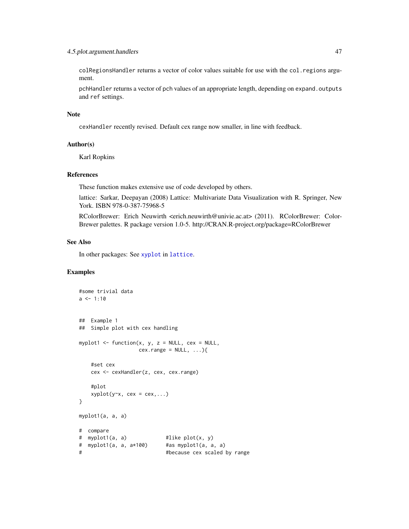### <span id="page-46-0"></span>4.5.plot.argument.handlers 47

colRegionsHandler returns a vector of color values suitable for use with the col.regions argument.

pchHandler returns a vector of pch values of an appropriate length, depending on expand.outputs and ref settings.

#### Note

cexHandler recently revised. Default cex range now smaller, in line with feedback.

#### Author(s)

Karl Ropkins

### References

These function makes extensive use of code developed by others.

lattice: Sarkar, Deepayan (2008) Lattice: Multivariate Data Visualization with R. Springer, New York. ISBN 978-0-387-75968-5

RColorBrewer: Erich Neuwirth <erich.neuwirth@univie.ac.at> (2011). RColorBrewer: Color-Brewer palettes. R package version 1.0-5. http://CRAN.R-project.org/package=RColorBrewer

### See Also

In other packages: See [xyplot](#page-0-0) in [lattice](#page-0-0).

### Examples

```
#some trivial data
a \leq 1:10## Example 1
## Simple plot with cex handling
myplot1 <- function(x, y, z = NULL, cex = NULL,
                  cex.\text{range} = NULL, ...}
   #set cex
   cex <- cexHandler(z, cex, cex.range)
   #plot
   xyplot(y~x, cex = cex,...)}
myplot1(a, a, a)
# compare
# myplot1(a, a) #like plot(x, y)
# myplot1(a, a, a*100) #as myplot1(a, a, a)
# #because cex scaled by range
```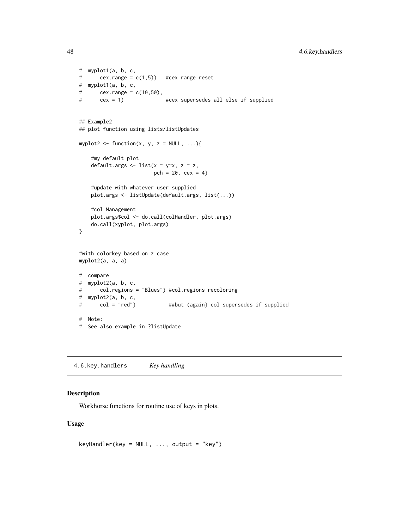<span id="page-47-0"></span>48 4.6.key.handlers

```
# myplot1(a, b, c,
# cex.range = c(1,5) #cex range reset
# myplot1(a, b, c,
# \, cex.range = c(10, 50),
# cex = 1) #cex supersedes all else if supplied
## Example2
## plot function using lists/listUpdates
myplot2 <- function(x, y, z = NULL, \ldots){
    #my default plot
   default.args \le list(x = y\approxx, z = z,
                       pch = 20, cex = 4)
    #update with whatever user supplied
   plot.args <- listUpdate(default.args, list(...))
    #col Management
   plot.args$col <- do.call(colHandler, plot.args)
   do.call(xyplot, plot.args)
}
#with colorkey based on z case
myplot2(a, a, a)
# compare
# myplot2(a, b, c,
# col.regions = "Blues") #col.regions recoloring
# myplot2(a, b, c,
# col = "red") ##but (again) col supersedes if supplied
# Note:
# See also example in ?listUpdate
```
4.6.key.handlers *Key handling*

### <span id="page-47-1"></span>Description

Workhorse functions for routine use of keys in plots.

#### Usage

keyHandler(key = NULL, ..., output = "key")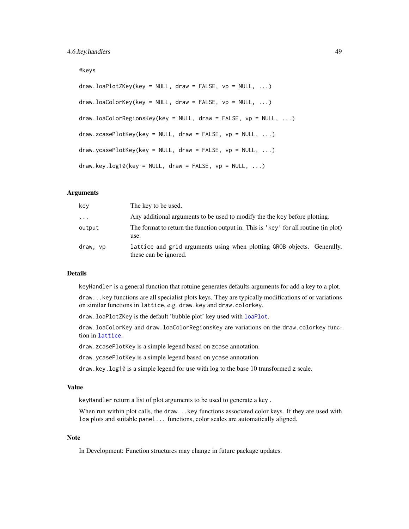#### <span id="page-48-0"></span>#keys

```
draw.loadPlotZKey(key = NULL, draw = FALSE, vp = NULL, ...)draw.loadCorKey(key = NULL, draw = FALSE, vp = NULL, ...)draw.loaColorRegionsKey(key = NULL, draw = FALSE, vp = NULL, ...)
draw.zcasePlotKey(key = NULL, draw = FALSE, vp = NULL, ...)
draw.ycasePlotKey(key = NULL, draw = FALSE, vp = NULL, ...)
draw-key.log10(key = NULL, draw = FALSE, vp = NULL, ...)
```
### Arguments

| key      | The key to be used.                                                                              |
|----------|--------------------------------------------------------------------------------------------------|
| $\cdot$  | Any additional arguments to be used to modify the the key before plotting.                       |
| output   | The format to return the function output in. This is 'key' for all routine (in plot)<br>use.     |
| draw, vp | lattice and grid arguments using when plotting GROB objects. Generally,<br>these can be ignored. |

#### Details

keyHandler is a general function that rotuine generates defaults arguments for add a key to a plot.

draw...key functions are all specialist plots keys. They are typically modifications of or variations on similar functions in lattice, e.g. draw.key and draw.colorkey.

draw.loaPlotZKey is the default 'bubble plot' key used with [loaPlot](#page-3-1).

draw.loaColorKey and draw.loaColorRegionsKey are variations on the draw.colorkey function in [lattice](#page-0-0).

draw.zcasePlotKey is a simple legend based on zcase annotation.

draw.ycasePlotKey is a simple legend based on ycase annotation.

draw.key.log10 is a simple legend for use with log to the base 10 transformed z scale.

### Value

keyHandler return a list of plot arguments to be used to generate a key .

When run within plot calls, the draw...key functions associated color keys. If they are used with loa plots and suitable panel... functions, color scales are automatically aligned.

#### Note

In Development: Function structures may change in future package updates.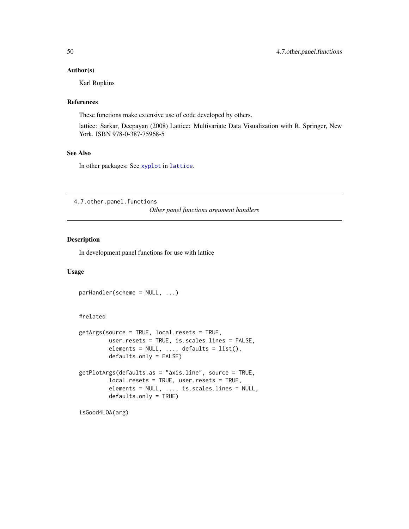#### <span id="page-49-0"></span>Author(s)

Karl Ropkins

#### References

These functions make extensive use of code developed by others.

lattice: Sarkar, Deepayan (2008) Lattice: Multivariate Data Visualization with R. Springer, New York. ISBN 978-0-387-75968-5

### See Also

In other packages: See [xyplot](#page-0-0) in [lattice](#page-0-0).

4.7.other.panel.functions

*Other panel functions argument handlers*

### <span id="page-49-1"></span>Description

In development panel functions for use with lattice

### Usage

```
parHandler(scheme = NULL, ...)
```
### #related

```
getArgs(source = TRUE, local.resets = TRUE,
        user.resets = TRUE, is.scales.lines = FALSE,
         elements = NULL, ..., defaults = list(),defaults.only = FALSE)
getPlotArgs(defaults.as = "axis.line", source = TRUE,
        local.resets = TRUE, user.resets = TRUE,
         elements = NULL, ..., is.scales.lines = NULL,
        defaults.only = TRUE)
```

```
isGood4LOA(arg)
```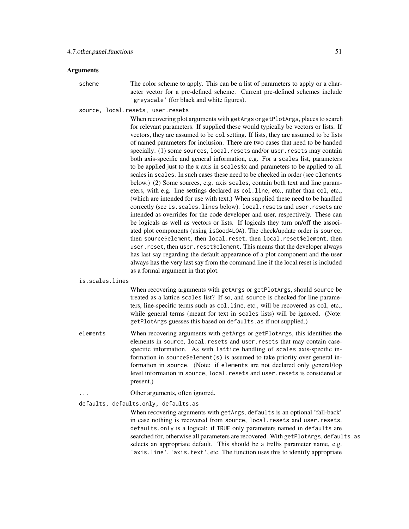#### Arguments

scheme The color scheme to apply. This can be a list of parameters to apply or a character vector for a pre-defined scheme. Current pre-defined schemes include 'greyscale' (for black and white figures).

source, local.resets, user.resets

When recovering plot arguments with getArgs or getPlotArgs, places to search for relevant parameters. If supplied these would typically be vectors or lists. If vectors, they are assumed to be col setting. If lists, they are assumed to be lists of named parameters for inclusion. There are two cases that need to be handed specially: (1) some sources, local.resets and/or user.resets may contain both axis-specific and general information, e.g. For a scales list, parameters to be applied just to the x axis in scales\$x and parameters to be applied to all scales in scales. In such cases these need to be checked in order (see elements below.) (2) Some sources, e.g. axis scales, contain both text and line parameters, with e.g. line settings declared as col.line, etc., rather than col, etc., (which are intended for use with text.) When supplied these need to be handled correctly (see is.scales.lines below). local.resets and user.resets are intended as overrides for the code developer and user, respectively. These can be logicals as well as vectors or lists. If logicals they turn on/off the associated plot components (using isGood4LOA). The check/update order is source, then source\$element, then local.reset, then local.reset\$element, then user.reset, then user.reset\$element. This means that the developer always has last say regarding the default appearance of a plot component and the user always has the very last say from the command line if the local.reset is included as a formal argument in that plot.

#### is.scales.lines

When recovering arguments with getArgs or getPlotArgs, should source be treated as a lattice scales list? If so, and source is checked for line parameters, line-specific terms such as col.line, etc., will be recovered as col, etc., while general terms (meant for text in scales lists) will be ignored. (Note: getPlotArgs guesses this based on defaults.as if not supplied.)

- elements When recovering arguments with getArgs or getPlotArgs, this identifies the elements in source, local.resets and user.resets that may contain casespecific information. As with lattice handling of scales axis-specific information in source\$element(s) is assumed to take priority over general information in source. (Note: if elements are not declared only general/top level information in source, local.resets and user.resets is considered at present.)
	- Other arguments, often ignored.

### defaults, defaults.only, defaults.as

When recovering arguments with getArgs, defaults is an optional 'fall-back' in case nothing is recovered from source, local.resets and user.resets. defaults.only is a logical: if TRUE only parameters named in defaults are searched for, otherwise all parameters are recovered. With getPlotArgs, defaults.as selects an appropriate default. This should be a trellis parameter name, e.g. 'axis.line', 'axis.text', etc. The function uses this to identify appropriate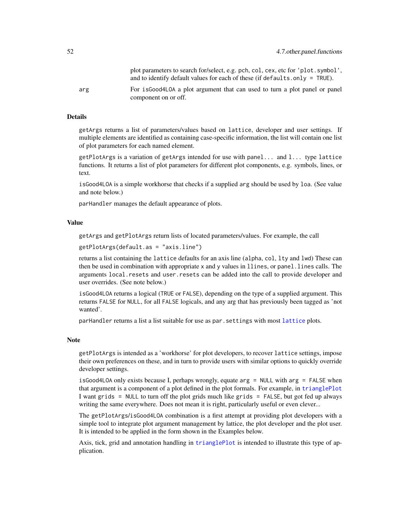<span id="page-51-0"></span>

|     | plot parameters to search for/select, e.g. pch, col, cex, etc for 'plot.symbol',<br>and to identify default values for each of these (if defaults.only = $TRUE$ ). |
|-----|--------------------------------------------------------------------------------------------------------------------------------------------------------------------|
| arg | For is Good 4 LOA a plot argument that can used to turn a plot panel or panel<br>component on or off.                                                              |

#### Details

getArgs returns a list of parameters/values based on lattice, developer and user settings. If multiple elements are identified as containing case-specific information, the list will contain one list of plot parameters for each named element.

getPlotArgs is a variation of getArgs intended for use with panel... and l... type lattice functions. It returns a list of plot parameters for different plot components, e.g. symbols, lines, or text.

isGood4LOA is a simple workhorse that checks if a supplied arg should be used by loa. (See value and note below.)

parHandler manages the default appearance of plots.

### Value

getArgs and getPlotArgs return lists of located parameters/values. For example, the call

```
getPlotArgs(default.as = "axis.line")
```
returns a list containing the lattice defaults for an axis line (alpha, col, lty and lwd) These can then be used in combination with appropriate x and y values in llines, or panel.lines calls. The arguments local.resets and user.resets can be added into the call to provide developer and user overrides. (See note below.)

isGood4LOA returns a logical (TRUE or FALSE), depending on the type of a supplied argument. This returns FALSE for NULL, for all FALSE logicals, and any arg that has previously been tagged as 'not wanted'.

parHandler returns a list a list suitable for use as par.settings with most [lattice](#page-0-0) plots.

#### Note

getPlotArgs is intended as a 'workhorse' for plot developers, to recover lattice settings, impose their own preferences on these, and in turn to provide users with similar options to quickly override developer settings.

isGood4LOA only exists because I, perhaps wrongly, equate arg = NULL with arg = FALSE when that argument is a component of a plot defined in the plot formals. For example, in [trianglePlot](#page-12-1) I want grids = NULL to turn off the plot grids much like grids = FALSE, but got fed up always writing the same everywhere. Does not mean it is right, particularly useful or even clever...

The getPlotArgs/isGood4LOA combination is a first attempt at providing plot developers with a simple tool to integrate plot argument management by lattice, the plot developer and the plot user. It is intended to be applied in the form shown in the Examples below.

Axis, tick, grid and annotation handling in [trianglePlot](#page-12-1) is intended to illustrate this type of application.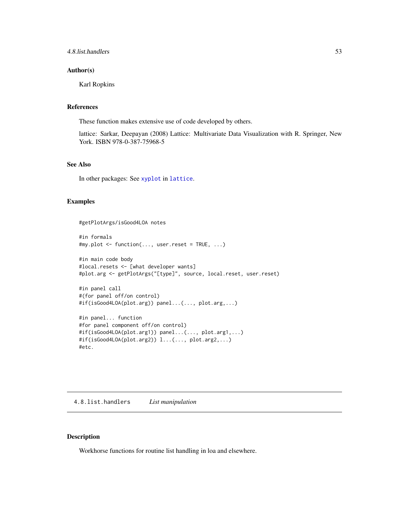### <span id="page-52-0"></span>4.8.list.handlers 53

#### Author(s)

Karl Ropkins

#### References

These function makes extensive use of code developed by others.

lattice: Sarkar, Deepayan (2008) Lattice: Multivariate Data Visualization with R. Springer, New York. ISBN 978-0-387-75968-5

### See Also

In other packages: See [xyplot](#page-0-0) in [lattice](#page-0-0).

#### Examples

#getPlotArgs/isGood4LOA notes

```
#in formals
#my.plot <- function(..., user.reset = TRUE, ...)
#in main code body
#local.resets <- [what developer wants]
#plot.arg <- getPlotArgs("[type]", source, local.reset, user.reset)
```

```
#in panel call
#(for panel off/on control)
#if(isGood4LOA(plot.arg)) panel...(..., plot.arg,...)
```

```
#in panel... function
#for panel component off/on control)
#if(isGood4LOA(plot.arg1)) panel...(..., plot.arg1,...)
#if(isGood4LOA(plot.arg2)) l...(..., plot.arg2,...)
#etc.
```
4.8.list.handlers *List manipulation*

### <span id="page-52-1"></span>Description

Workhorse functions for routine list handling in loa and elsewhere.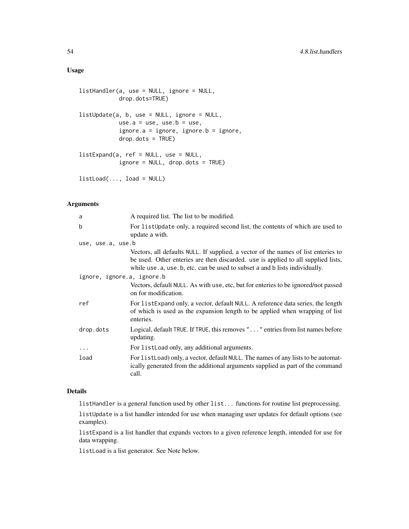### Usage

```
listHandler(a, use = NULL, ignore = NULL,
            drop.dots=TRUE)
listUpdate(a, b, use = NULL, ignore = NULL,
            use.a = use, use.b = use,
            ignore.a = ignore, ignore.b = ignore,
            drop.dots = TRUE)
listExpand(a, ref = NULL, use = NULL,
            ignore = NULL, drop.dots = TRUE)
listLoad(..., load = NULL)
```
### Arguments

| a                          | A required list. The list to be modified.                                                                                                                                                                                                             |  |
|----------------------------|-------------------------------------------------------------------------------------------------------------------------------------------------------------------------------------------------------------------------------------------------------|--|
| b                          | For list Update only, a required second list, the contents of which are used to<br>update a with.                                                                                                                                                     |  |
| use, use.a, use.b          |                                                                                                                                                                                                                                                       |  |
|                            | Vectors, all defaults NULL. If supplied, a vector of the names of list enteries to<br>be used. Other enteries are then discarded. use is applied to all supplied lists,<br>while use a, use b, etc. can be used to subset a and b lists individually. |  |
| ignore, ignore.a, ignore.b |                                                                                                                                                                                                                                                       |  |
|                            | Vectors, default NULL. As with use, etc, but for enteries to be ignored/not passed<br>on for modification.                                                                                                                                            |  |
| ref                        | For listExpand only, a vector, default NULL. A reference data series, the length<br>of which is used as the expansion length to be applied when wrapping of list<br>enteries.                                                                         |  |
| drop.dots                  | Logical, default TRUE. If TRUE, this removes "" entries from list names before<br>updating.                                                                                                                                                           |  |
| $\cdots$                   | For list Load only, any additional arguments.                                                                                                                                                                                                         |  |
| load                       | For list Load) only, a vector, default NULL. The names of any lists to be automat-<br>ically generated from the additional arguments supplied as part of the command<br>call.                                                                         |  |

#### Details

listHandler is a general function used by other list... functions for routine list preprocessing.

listUpdate is a list handler intended for use when managing user updates for default options (see examples).

listExpand is a list handler that expands vectors to a given reference length, intended for use for data wrapping.

listLoad is a list generator. See Note below.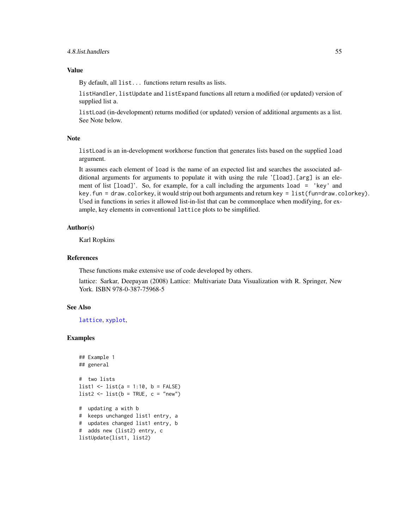### <span id="page-54-0"></span>Value

By default, all list... functions return results as lists.

listHandler, listUpdate and listExpand functions all return a modified (or updated) version of supplied list a.

listLoad (in-development) returns modified (or updated) version of additional arguments as a list. See Note below.

#### Note

listLoad is an in-development workhorse function that generates lists based on the supplied load argument.

It assumes each element of load is the name of an expected list and searches the associated additional arguments for arguments to populate it with using the rule '[load].[arg] is an element of list [load]'. So, for example, for a call including the arguments load = 'key' and key.fun = draw.colorkey, it would strip out both arguments and return key = list(fun=draw.colorkey). Used in functions in series it allowed list-in-list that can be commonplace when modifying, for example, key elements in conventional lattice plots to be simplified.

#### Author(s)

Karl Ropkins

### References

These functions make extensive use of code developed by others.

lattice: Sarkar, Deepayan (2008) Lattice: Multivariate Data Visualization with R. Springer, New York. ISBN 978-0-387-75968-5

### See Also

[lattice](#page-0-0), [xyplot](#page-0-0),

### Examples

```
## Example 1
## general
# two lists
list1 <- list(a = 1:10, b = FALSE)
list2 \leftarrow list(b = TRUE, c = "new")# updating a with b
# keeps unchanged list1 entry, a
# updates changed list1 entry, b
# adds new (list2) entry, c
listUpdate(list1, list2)
```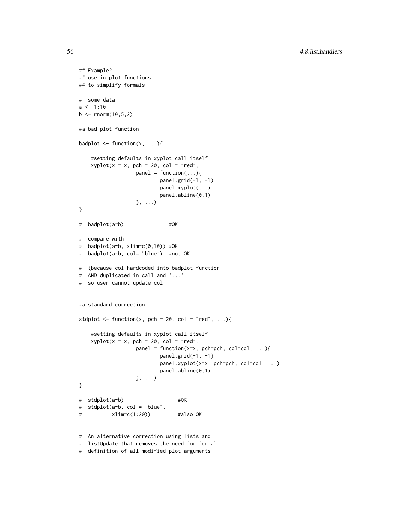```
## Example2
## use in plot functions
## to simplify formals
# some data
a \le -1:10b \le rnorm(10,5,2)
#a bad plot function
badplot \leq function(x, ...){
    #setting defaults in xyplot call itself
    xyplot(x = x, pch = 20, col = "red",panel = function(...){}panel.grid(-1, -1)
                         panel.xyplot(...)
                         panel.abline(0,1)
                  }, ...)
}
# badplot(a~b) #OK
# compare with
# badplot(a~b, xlim=c(0,10)) #OK
# badplot(a~b, col= "blue") #not OK
# (because col hardcoded into badplot function
# AND duplicated in call and '...'
# so user cannot update col
#a standard correction
stdplot \leq function(x, pch = 20, col = "red", ...){
    #setting defaults in xyplot call itself
   xyplot(x = x, pch = 20, col = "red",panel = function(x=x, pch=pch, col=col, ...){
                          panel.grid(-1, -1)panel.xyplot(x=x, pch=pch, col=col, ...)
                         panel.abline(0,1)
                  }, ...)
}
# stdplot(a~b) #OK
# stdplot(a~b, col = "blue",
# xlim=c(1:20)) #also OK
# An alternative correction using lists and
# listUpdate that removes the need for formal
```
<sup>#</sup> definition of all modified plot arguments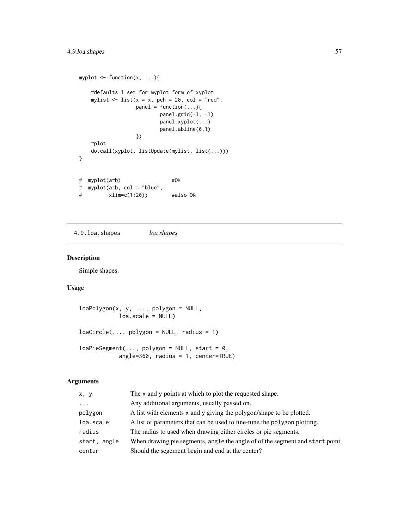### <span id="page-56-0"></span>4.9.loa.shapes 57

```
myplot \leq function(x, ...){
   #defaults I set for myplot form of xyplot
   mylist \le list(x = x, pch = 20, col = "red",
                 panel = function(...)\{panel.grid(-1, -1)
                        panel.xyplot(...)
                        panel.abline(0,1)
                 })
   #plot
   do.call(xyplot, listUpdate(mylist, list(...)))
}
# myplot(a~b) #OK
# myplot(a~b, col = "blue",
# xlim=c(1:20)) #also OK
```
4.9.loa.shapes *loa shapes*

### <span id="page-56-1"></span>Description

Simple shapes.

### Usage

```
loaPolygon(x, y, ..., polygon = NULL,loa.scale = NULL)
loacircle(..., polygon = NULL, radius = 1)loaPieSegment(..., polygon = NULL, start = 0,angle=360, radius = 1, center=TRUE)
```
### Arguments

| x, y         | The x and y points at which to plot the requested shape.                      |
|--------------|-------------------------------------------------------------------------------|
| $\cdots$     | Any additional arguments, usually passed on.                                  |
| polygon      | A list with elements x and y giving the polygon/shape to be plotted.          |
| loa.scale    | A list of parameters that can be used to fine-tune the polygon plotting.      |
| radius       | The radius to used when drawing either circles or pie segments.               |
| start, angle | When drawing pie segments, angle the angle of of the segment and start point. |
| center       | Should the segement begin and end at the center?                              |
|              |                                                                               |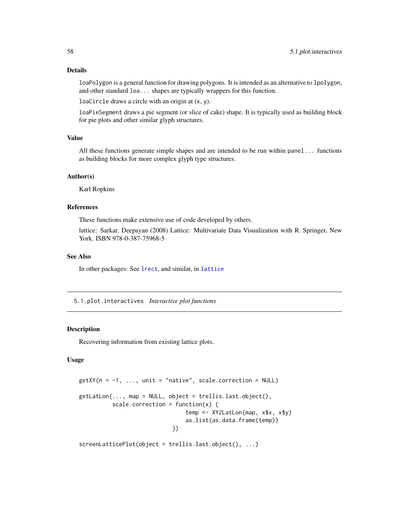### <span id="page-57-0"></span>Details

loaPolygon is a general function for drawing polygons. It is intended as an alternative to lpolygon, and other standard loa... shapes are typically wrappers for this function.

loaCircle draws a circle with an origin at (x, y).

loaPieSegment draws a pie segment (or slice of cake) shape. It is typically used as building block for pie plots and other similar glyph structures.

#### Value

All these functions generate simple shapes and are intended to be run within panel... functions as building blocks for more complex glyph type structures.

### Author(s)

Karl Ropkins

#### References

These functions make extensive use of code developed by others.

lattice: Sarkar, Deepayan (2008) Lattice: Multivariate Data Visualization with R. Springer, New York. ISBN 978-0-387-75968-5

#### See Also

In other packages: See [lrect](#page-0-0), and similar, in [lattice](#page-0-0)

5.1.plot.interactives *Interactive plot functions*

### <span id="page-57-1"></span>Description

Recovering information from existing lattice plots.

### Usage

```
getXY(n = -1, ..., unit = "native", scale.correction = NULL)
getLatLon(..., map = NULL, object = trellis.last.object(),
          scale.correction = function(x) {
                                temp <- XY2LatLon(map, x$x, x$y)
                                as.list(as.data.frame(temp))
                            })
```
screenLatticePlot(object = trellis.last.object(), ...)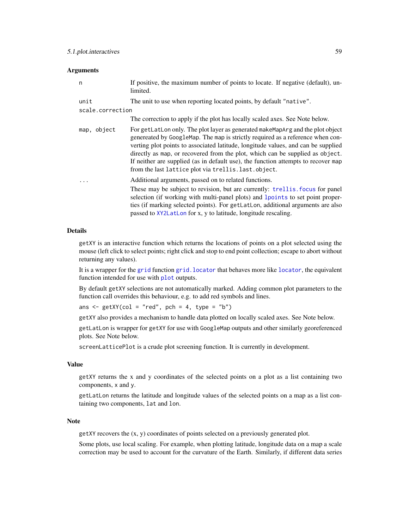#### <span id="page-58-0"></span>**Arguments**

| n                | If positive, the maximum number of points to locate. If negative (default), un-<br>limited.                                                                                                                                                                                                                                                                                                                                                                                          |  |
|------------------|--------------------------------------------------------------------------------------------------------------------------------------------------------------------------------------------------------------------------------------------------------------------------------------------------------------------------------------------------------------------------------------------------------------------------------------------------------------------------------------|--|
| unit             | The unit to use when reporting located points, by default "native".                                                                                                                                                                                                                                                                                                                                                                                                                  |  |
| scale.correction |                                                                                                                                                                                                                                                                                                                                                                                                                                                                                      |  |
|                  | The correction to apply if the plot has locally scaled axes. See Note below.                                                                                                                                                                                                                                                                                                                                                                                                         |  |
| map, object      | For getLatLon only. The plot layer as generated makeMapArg and the plot object<br>genereated by GoogleMap. The map is strictly required as a reference when con-<br>verting plot points to associated latitude, longitude values, and can be supplied<br>directly as map, or recovered from the plot, which can be supplied as object.<br>If neither are supplied (as in default use), the function attempts to recover map<br>from the last lattice plot via trellis. last. object. |  |
|                  | Additional arguments, passed on to related functions.<br>These may be subject to revision, but are currently: trellis. focus for panel<br>selection (if working with multi-panel plots) and lpoints to set point proper-<br>ties (if marking selected points). For getLatLon, additional arguments are also<br>passed to XY2LatLon for x, y to latitude, longitude rescaling.                                                                                                        |  |

### Details

getXY is an interactive function which returns the locations of points on a plot selected using the mouse (left click to select points; right click and stop to end point collection; escape to abort without returning any values).

It is a wrapper for the [grid](#page-0-0) function [grid.locator](#page-0-0) that behaves more like [locator](#page-0-0), the equivalent function intended for use with [plot](#page-0-0) outputs.

By default getXY selections are not automatically marked. Adding common plot parameters to the function call overrides this behaviour, e.g. to add red symbols and lines.

ans  $\leq$  getXY(col = "red", pch = 4, type = "b")

getXY also provides a mechanism to handle data plotted on locally scaled axes. See Note below.

getLatLon is wrapper for getXY for use with GoogleMap outputs and other similarly georeferenced plots. See Note below.

screenLatticePlot is a crude plot screening function. It is currently in development.

#### Value

getXY returns the x and y coordinates of the selected points on a plot as a list containing two components, x and y.

getLatLon returns the latitude and longitude values of the selected points on a map as a list containing two components, lat and lon.

#### Note

getXY recovers the (x, y) coordinates of points selected on a previously generated plot.

Some plots, use local scaling. For example, when plotting latitude, longitude data on a map a scale correction may be used to account for the curvature of the Earth. Similarly, if different data series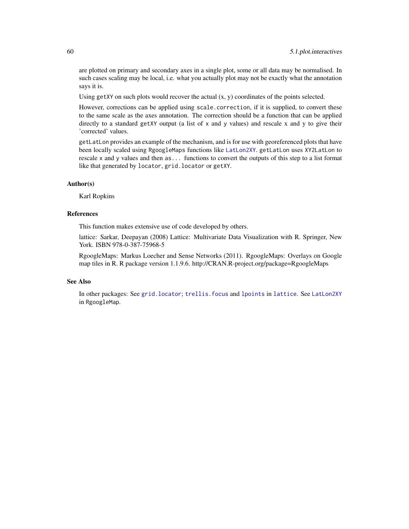<span id="page-59-0"></span>are plotted on primary and secondary axes in a single plot, some or all data may be normalised. In such cases scaling may be local, i.e. what you actually plot may not be exactly what the annotation says it is.

Using getXY on such plots would recover the actual  $(x, y)$  coordinates of the points selected.

However, corrections can be applied using scale.correction, if it is supplied, to convert these to the same scale as the axes annotation. The correction should be a function that can be applied directly to a standard getXY output (a list of  $x$  and  $y$  values) and rescale  $x$  and  $y$  to give their 'corrected' values.

getLatLon provides an example of the mechanism, and is for use with georeferenced plots that have been locally scaled using RgoogleMaps functions like [LatLon2XY](#page-0-0). getLatLon uses XY2LatLon to rescale x and y values and then as... functions to convert the outputs of this step to a list format like that generated by locator, grid.locator or getXY.

### Author(s)

Karl Ropkins

### References

This function makes extensive use of code developed by others.

lattice: Sarkar, Deepayan (2008) Lattice: Multivariate Data Visualization with R. Springer, New York. ISBN 978-0-387-75968-5

RgoogleMaps: Markus Loecher and Sense Networks (2011). RgoogleMaps: Overlays on Google map tiles in R. R package version 1.1.9.6. http://CRAN.R-project.org/package=RgoogleMaps

### See Also

In other packages: See [grid.locator](#page-0-0); [trellis.focus](#page-0-0) and [lpoints](#page-0-0) in [lattice](#page-0-0). See [LatLon2XY](#page-0-0) in RgoogleMap.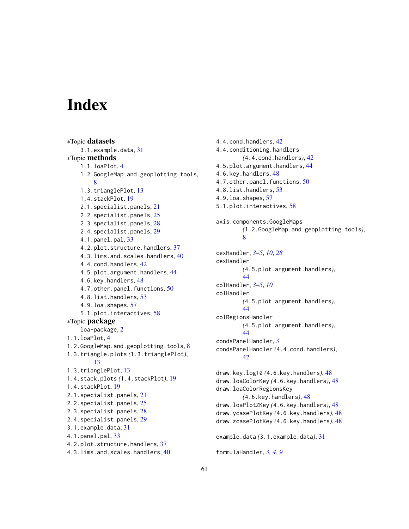# <span id="page-60-0"></span>**Index**

∗Topic datasets 3.1.example.data, [31](#page-30-0) ∗Topic methods 1.1.loaPlot, [4](#page-3-0) 1.2.GoogleMap.and.geoplotting.tools, [8](#page-7-0) 1.3.trianglePlot, [13](#page-12-0) 1.4.stackPlot, [19](#page-18-0) 2.1.specialist.panels, [21](#page-20-0) 2.2.specialist.panels, [25](#page-24-0) 2.3.specialist.panels, [28](#page-27-0) 2.4.specialist.panels, [29](#page-28-0) 4.1.panel.pal, [33](#page-32-0) 4.2.plot.structure.handlers, [37](#page-36-0) 4.3.lims.and.scales.handlers, [40](#page-39-0) 4.4.cond.handlers, [42](#page-41-0) 4.5.plot.argument.handlers, [44](#page-43-0) 4.6.key.handlers, [48](#page-47-0) 4.7.other.panel.functions, [50](#page-49-0) 4.8.list.handlers, [53](#page-52-0) 4.9.loa.shapes, [57](#page-56-0) 5.1.plot.interactives, [58](#page-57-0) ∗Topic package loa-package, [2](#page-1-0) 1.1.loaPlot, [4](#page-3-0) 1.2.GoogleMap.and.geoplotting.tools, [8](#page-7-0) 1.3.triangle.plots *(*1.3.trianglePlot*)*, [13](#page-12-0) 1.3.trianglePlot, [13](#page-12-0) 1.4.stack.plots *(*1.4.stackPlot*)*, [19](#page-18-0) 1.4.stackPlot, [19](#page-18-0) 2.1.specialist.panels, [21](#page-20-0) 2.2.specialist.panels, [25](#page-24-0) 2.3.specialist.panels, [28](#page-27-0) 2.4.specialist.panels, [29](#page-28-0) 3.1.example.data, [31](#page-30-0) 4.1.panel.pal, [33](#page-32-0) 4.2.plot.structure.handlers, [37](#page-36-0) 4.3.lims.and.scales.handlers, [40](#page-39-0)

4.4.cond.handlers, [42](#page-41-0) 4.4.conditioning.handlers *(*4.4.cond.handlers*)*, [42](#page-41-0) 4.5.plot.argument.handlers, [44](#page-43-0) 4.6.key.handlers, [48](#page-47-0) 4.7.other.panel.functions, [50](#page-49-0) 4.8.list.handlers, [53](#page-52-0) 4.9.loa.shapes, [57](#page-56-0) 5.1.plot.interactives, [58](#page-57-0) axis.components.GoogleMaps *(*1.2.GoogleMap.and.geoplotting.tools*)*, [8](#page-7-0) cexHandler, *[3](#page-2-0)[–5](#page-4-0)*, *[10](#page-9-0)*, *[28](#page-27-0)* cexHandler *(*4.5.plot.argument.handlers*)*, [44](#page-43-0) colHandler, *[3](#page-2-0)[–5](#page-4-0)*, *[10](#page-9-0)* colHandler *(*4.5.plot.argument.handlers*)*, [44](#page-43-0) colRegionsHandler *(*4.5.plot.argument.handlers*)*, [44](#page-43-0) condsPanelHandler, *[3](#page-2-0)* condsPanelHandler *(*4.4.cond.handlers*)*, [42](#page-41-0) draw.key.log10 *(*4.6.key.handlers*)*, [48](#page-47-0) draw.loaColorKey *(*4.6.key.handlers*)*, [48](#page-47-0) draw.loaColorRegionsKey *(*4.6.key.handlers*)*, [48](#page-47-0) draw.loaPlotZKey *(*4.6.key.handlers*)*, [48](#page-47-0) draw.ycasePlotKey *(*4.6.key.handlers*)*, [48](#page-47-0) draw.zcasePlotKey *(*4.6.key.handlers*)*, [48](#page-47-0) example.data *(*3.1.example.data*)*, [31](#page-30-0) formulaHandler, *[3,](#page-2-0) [4](#page-3-0)*, *[9](#page-8-0)*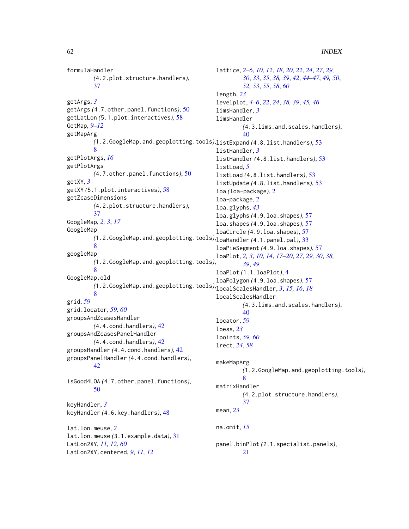formulaHandler *(*4.2.plot.structure.handlers*)*, [37](#page-36-0) getArgs, *[3](#page-2-0)* getArgs *(*4.7.other.panel.functions*)*, [50](#page-49-0) getLatLon *(*5.1.plot.interactives*)*, [58](#page-57-0) GetMap, *[9](#page-8-0)[–12](#page-11-0)* getMapArg *(*1.2.GoogleMap.and.geoplotting.tools*)*, listExpand *(*4.8.list.handlers*)*, [53](#page-52-0) [8](#page-7-0) getPlotArgs, *[16](#page-15-0)* getPlotArgs *(*4.7.other.panel.functions*)*, [50](#page-49-0) getXY, *[3](#page-2-0)* getXY *(*5.1.plot.interactives*)*, [58](#page-57-0) getZcaseDimensions *(*4.2.plot.structure.handlers*)*, [37](#page-36-0) GoogleMap, *[2,](#page-1-0) [3](#page-2-0)*, *[17](#page-16-0)* GoogleMap *(*1.2.GoogleMap.and.geoplotting.tools*)*, loaHandler *(*4.1.panel.pal*)*, [33](#page-32-0) [8](#page-7-0) googleMap *(*1.2.GoogleMap.and.geoplotting.tools*)*, [8](#page-7-0) GoogleMap.old *(*1.2.GoogleMap.and.geoplotting.tools*)*, localScalesHandler, *[3](#page-2-0)*, *[15,](#page-14-0) [16](#page-15-0)*, *[18](#page-17-0)* [8](#page-7-0) grid, *[59](#page-58-0)* grid.locator, *[59,](#page-58-0) [60](#page-59-0)* groupsAndZcasesHandler *(*4.4.cond.handlers*)*, [42](#page-41-0) groupsAndZcasesPanelHandler *(*4.4.cond.handlers*)*, [42](#page-41-0) groupsHandler *(*4.4.cond.handlers*)*, [42](#page-41-0) groupsPanelHandler *(*4.4.cond.handlers*)*, [42](#page-41-0) isGood4LOA *(*4.7.other.panel.functions*)*, [50](#page-49-0) keyHandler, *[3](#page-2-0)* keyHandler *(*4.6.key.handlers*)*, [48](#page-47-0) lat.lon.meuse, *[2](#page-1-0)* lat.lon.meuse *(*3.1.example.data*)*, [31](#page-30-0) LatLon2XY, *[11,](#page-10-0) [12](#page-11-0)*, *[60](#page-59-0)* LatLon2XY.centered, *[9](#page-8-0)*, *[11,](#page-10-0) [12](#page-11-0)* lattice, *[2](#page-1-0)[–6](#page-5-0)*, *[10](#page-9-0)*, *[12](#page-11-0)*, *[18](#page-17-0)*, *[20](#page-19-0)*, *[22](#page-21-0)*, *[24](#page-23-0)*, *[27](#page-26-0)*, *[29,](#page-28-0) [30](#page-29-0)*, *[33](#page-32-0)*, *[35](#page-34-0)*, *[38,](#page-37-0) [39](#page-38-0)*, *[42](#page-41-0)*, *[44](#page-43-0)[–47](#page-46-0)*, *[49,](#page-48-0) [50](#page-49-0)*, *[52,](#page-51-0) [53](#page-52-0)*, *[55](#page-54-0)*, *[58](#page-57-0)*, *[60](#page-59-0)* length, *[23](#page-22-0)* levelplot, *[4](#page-3-0)[–6](#page-5-0)*, *[22](#page-21-0)*, *[24](#page-23-0)*, *[38,](#page-37-0) [39](#page-38-0)*, *[45,](#page-44-0) [46](#page-45-0)* limsHandler, *[3](#page-2-0)* limsHandler *(*4.3.lims.and.scales.handlers*)*, [40](#page-39-0) listHandler, *[3](#page-2-0)* listHandler *(*4.8.list.handlers*)*, [53](#page-52-0) listLoad, *[5](#page-4-0)* listLoad *(*4.8.list.handlers*)*, [53](#page-52-0) listUpdate *(*4.8.list.handlers*)*, [53](#page-52-0) loa *(*loa-package*)*, [2](#page-1-0) loa-package, [2](#page-1-0) loa.glyphs, *[43](#page-42-0)* loa.glyphs *(*4.9.loa.shapes*)*, [57](#page-56-0) loa.shapes *(*4.9.loa.shapes*)*, [57](#page-56-0) loaCircle *(*4.9.loa.shapes*)*, [57](#page-56-0) loaPieSegment *(*4.9.loa.shapes*)*, [57](#page-56-0) loaPlot, *[2,](#page-1-0) [3](#page-2-0)*, *[10](#page-9-0)*, *[14](#page-13-0)*, *[17](#page-16-0)[–20](#page-19-0)*, *[27](#page-26-0)*, *[29,](#page-28-0) [30](#page-29-0)*, *[38,](#page-37-0) [39](#page-38-0)*, *[49](#page-48-0)* loaPlot *(*1.1.loaPlot*)*, [4](#page-3-0) loaPolygon *(*4.9.loa.shapes*)*, [57](#page-56-0) localScalesHandler *(*4.3.lims.and.scales.handlers*)*, [40](#page-39-0) locator, *[59](#page-58-0)* loess, *[23](#page-22-0)* lpoints, *[59,](#page-58-0) [60](#page-59-0)* lrect, *[24](#page-23-0)*, *[58](#page-57-0)* makeMapArg *(*1.2.GoogleMap.and.geoplotting.tools*)*, [8](#page-7-0) matrixHandler *(*4.2.plot.structure.handlers*)*, [37](#page-36-0) mean, *[23](#page-22-0)* na.omit, *[15](#page-14-0)* panel.binPlot *(*2.1.specialist.panels*)*, [21](#page-20-0)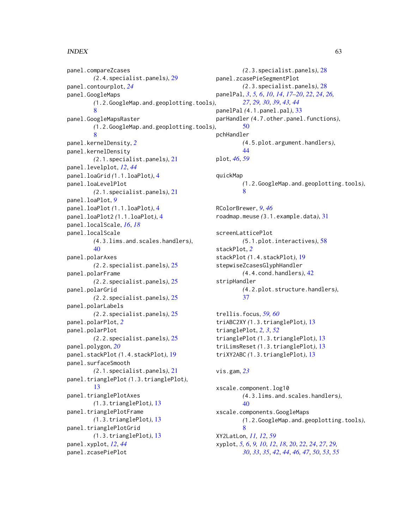### $I<sub>N</sub>DEX$  63

panel.compareZcases *(*2.4.specialist.panels*)*, [29](#page-28-0) panel.contourplot, *[24](#page-23-0)* panel.GoogleMaps *(*1.2.GoogleMap.and.geoplotting.tools*)*, [8](#page-7-0) panel.GoogleMapsRaster *(*1.2.GoogleMap.and.geoplotting.tools*)*, [8](#page-7-0) panel.kernelDensity, *[2](#page-1-0)* panel.kernelDensity *(*2.1.specialist.panels*)*, [21](#page-20-0) panel.levelplot, *[12](#page-11-0)*, *[44](#page-43-0)* panel.loaGrid *(*1.1.loaPlot*)*, [4](#page-3-0) panel.loaLevelPlot *(*2.1.specialist.panels*)*, [21](#page-20-0) panel.loaPlot, *[9](#page-8-0)* panel.loaPlot *(*1.1.loaPlot*)*, [4](#page-3-0) panel.loaPlot2 *(*1.1.loaPlot*)*, [4](#page-3-0) panel.localScale, *[16](#page-15-0)*, *[18](#page-17-0)* panel.localScale *(*4.3.lims.and.scales.handlers*)*, [40](#page-39-0) panel.polarAxes *(*2.2.specialist.panels*)*, [25](#page-24-0) panel.polarFrame *(*2.2.specialist.panels*)*, [25](#page-24-0) panel.polarGrid *(*2.2.specialist.panels*)*, [25](#page-24-0) panel.polarLabels *(*2.2.specialist.panels*)*, [25](#page-24-0) panel.polarPlot, *[2](#page-1-0)* panel.polarPlot *(*2.2.specialist.panels*)*, [25](#page-24-0) panel.polygon, *[20](#page-19-0)* panel.stackPlot *(*1.4.stackPlot*)*, [19](#page-18-0) panel.surfaceSmooth *(*2.1.specialist.panels*)*, [21](#page-20-0) panel.trianglePlot *(*1.3.trianglePlot*)*, [13](#page-12-0) panel.trianglePlotAxes *(*1.3.trianglePlot*)*, [13](#page-12-0) panel.trianglePlotFrame *(*1.3.trianglePlot*)*, [13](#page-12-0) panel.trianglePlotGrid *(*1.3.trianglePlot*)*, [13](#page-12-0) panel.xyplot, *[12](#page-11-0)*, *[44](#page-43-0)* panel.zcasePiePlot

*(*2.3.specialist.panels*)*, [28](#page-27-0) panel.zcasePieSegmentPlot *(*2.3.specialist.panels*)*, [28](#page-27-0) panelPal, *[3](#page-2-0)*, *[5,](#page-4-0) [6](#page-5-0)*, *[10](#page-9-0)*, *[14](#page-13-0)*, *[17](#page-16-0)[–20](#page-19-0)*, *[22](#page-21-0)*, *[24](#page-23-0)*, *[26,](#page-25-0) [27](#page-26-0)*, *[29,](#page-28-0) [30](#page-29-0)*, *[39](#page-38-0)*, *[43,](#page-42-0) [44](#page-43-0)* panelPal *(*4.1.panel.pal*)*, [33](#page-32-0) parHandler *(*4.7.other.panel.functions*)*, [50](#page-49-0) pchHandler *(*4.5.plot.argument.handlers*)*, [44](#page-43-0) plot, *[46](#page-45-0)*, *[59](#page-58-0)* quickMap *(*1.2.GoogleMap.and.geoplotting.tools*)*, [8](#page-7-0) RColorBrewer, *[9](#page-8-0)*, *[46](#page-45-0)* roadmap.meuse *(*3.1.example.data*)*, [31](#page-30-0) screenLatticePlot *(*5.1.plot.interactives*)*, [58](#page-57-0) stackPlot, *[2](#page-1-0)* stackPlot *(*1.4.stackPlot*)*, [19](#page-18-0) stepwiseZcasesGlyphHandler *(*4.4.cond.handlers*)*, [42](#page-41-0) stripHandler *(*4.2.plot.structure.handlers*)*, [37](#page-36-0) trellis.focus, *[59,](#page-58-0) [60](#page-59-0)* triABC2XY *(*1.3.trianglePlot*)*, [13](#page-12-0) trianglePlot, *[2,](#page-1-0) [3](#page-2-0)*, *[52](#page-51-0)* trianglePlot *(*1.3.trianglePlot*)*, [13](#page-12-0) triLimsReset *(*1.3.trianglePlot*)*, [13](#page-12-0) triXY2ABC *(*1.3.trianglePlot*)*, [13](#page-12-0) vis.gam, *[23](#page-22-0)* xscale.component.log10 *(*4.3.lims.and.scales.handlers*)*, [40](#page-39-0) xscale.components.GoogleMaps *(*1.2.GoogleMap.and.geoplotting.tools*)*, [8](#page-7-0) XY2LatLon, *[11,](#page-10-0) [12](#page-11-0)*, *[59](#page-58-0)* xyplot, *[5,](#page-4-0) [6](#page-5-0)*, *[9,](#page-8-0) [10](#page-9-0)*, *[12](#page-11-0)*, *[18](#page-17-0)*, *[20](#page-19-0)*, *[22](#page-21-0)*, *[24](#page-23-0)*, *[27](#page-26-0)*, *[29,](#page-28-0) [30](#page-29-0)*, *[33](#page-32-0)*, *[35](#page-34-0)*, *[42](#page-41-0)*, *[44](#page-43-0)*, *[46,](#page-45-0) [47](#page-46-0)*, *[50](#page-49-0)*, *[53](#page-52-0)*, *[55](#page-54-0)*